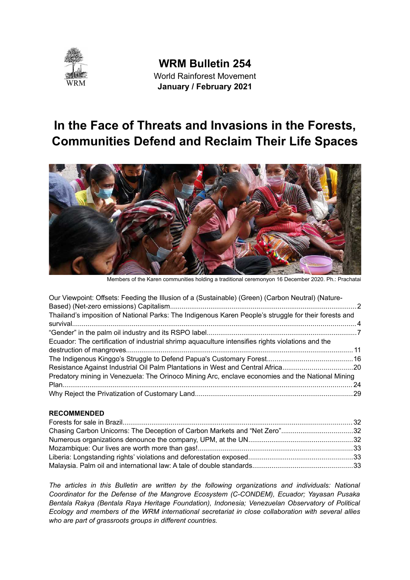

**WRM Bulletin 254** World Rainforest Movement **January / February 2021** 

# **In the Face of Threats and Invasions in the Forests, Communities Defend and Reclaim Their Life Spaces**



Members of the Karen communities holding a traditional ceremonyon 16 December 2020. Ph.: Prachatai

| Our Viewpoint: Offsets: Feeding the Illusion of a (Sustainable) (Green) (Carbon Neutral) (Nature-     |  |
|-------------------------------------------------------------------------------------------------------|--|
|                                                                                                       |  |
| Thailand's imposition of National Parks: The Indigenous Karen People's struggle for their forests and |  |
|                                                                                                       |  |
| Ecuador: The certification of industrial shrimp aquaculture intensifies rights violations and the     |  |
|                                                                                                       |  |
|                                                                                                       |  |
| Resistance Against Industrial Oil Palm Plantations in West and Central Africa20                       |  |
| Predatory mining in Venezuela: The Orinoco Mining Arc, enclave economies and the National Mining      |  |
|                                                                                                       |  |
|                                                                                                       |  |

#### **[RECOMMENDED](#page-31-0)**

| Chasing Carbon Unicorns: The Deception of Carbon Markets and "Net Zero"32 |  |
|---------------------------------------------------------------------------|--|
|                                                                           |  |
|                                                                           |  |
|                                                                           |  |
|                                                                           |  |

*The articles in this Bulletin are written by the following organizations and individuals: National Coordinator for the Defense of the Mangrove Ecosystem (C-CONDEM), Ecuador; Yayasan Pusaka Bentala Rakya (Bentala Raya Heritage Foundation), Indonesia; Venezuelan Observatory of Political Ecology and members of the WRM international secretariat in close collaboration with several allies who are part of grassroots groups in different countries.*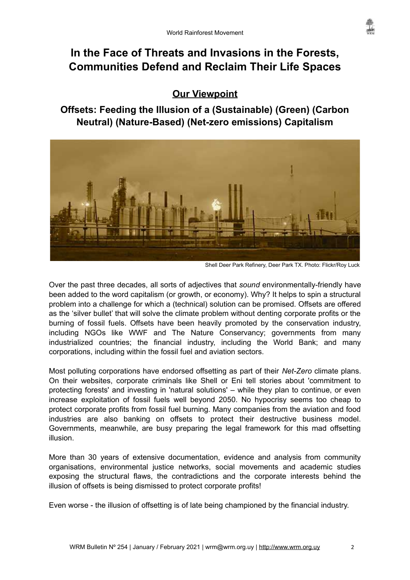# **In the Face of Threats and Invasions in the Forests, Communities Defend and Reclaim Their Life Spaces**

# <span id="page-1-1"></span>**Our Viewpoint**

<span id="page-1-0"></span>**Offsets: Feeding the Illusion of a (Sustainable) (Green) (Carbon Neutral) (Nature-Based) (Net-zero emissions) Capitalism**



Shell Deer Park Refinery, Deer Park TX. Photo: Flickr/Roy Luck

Over the past three decades, all sorts of adjectives that *sound* environmentally-friendly have been added to the word capitalism (or growth, or economy). Why? It helps to spin a structural problem into a challenge for which a (technical) solution can be promised. Offsets are offered as the 'silver bullet' that will solve the climate problem without denting corporate profits or the burning of fossil fuels. Offsets have been heavily promoted by the conservation industry, including NGOs like WWF and The Nature Conservancy; governments from many industrialized countries; the financial industry, including the World Bank; and many corporations, including within the fossil fuel and aviation sectors.

Most polluting corporations have endorsed offsetting as part of their *Net-Zero* climate plans. On their websites, corporate criminals like Shell or Eni tell stories about 'commitment to protecting forests' and investing in 'natural solutions' – while they plan to continue, or even increase exploitation of fossil fuels well beyond 2050. No hypocrisy seems too cheap to protect corporate profits from fossil fuel burning. Many companies from the aviation and food industries are also banking on offsets to protect their destructive business model. Governments, meanwhile, are busy preparing the legal framework for this mad offsetting illusion.

More than 30 years of extensive documentation, evidence and analysis from community organisations, environmental justice networks, social movements and academic studies exposing the structural flaws, the contradictions and the corporate interests behind the illusion of offsets is being dismissed to protect corporate profits!

Even worse - the illusion of offsetting is of late being championed by the financial industry.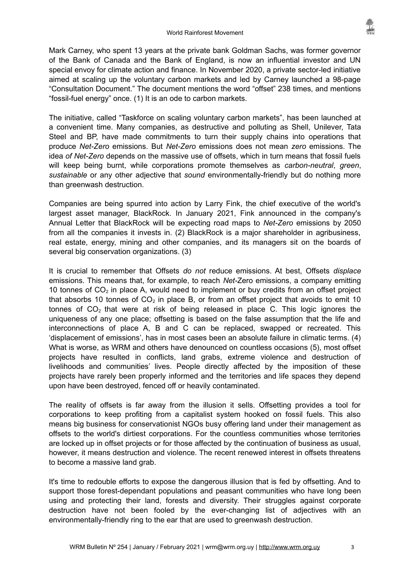Mark Carney, who spent 13 years at the private bank Goldman Sachs, was former governor of the Bank of Canada and the Bank of England, is now an influential investor and UN special envoy for climate action and finance. In November 2020, a private sector-led initiative aimed at scaling up the voluntary carbon markets and led by Carney launched a 98-page "Consultation Document." The document mentions the word "offset" 238 times, and mentions "fossil-fuel energy" once. (1) It is an ode to carbon markets.

The initiative, called "Taskforce on scaling voluntary carbon markets", has been launched at a convenient time. Many companies, as destructive and polluting as Shell, Unilever, Tata Steel and BP, have made commitments to turn their supply chains into operations that produce *Net-Zero* emissions. But *Net-Zero* emissions does not mean *zero* emissions. The idea *of Net-Zero* depends on the massive use of offsets, which in turn means that fossil fuels will keep being burnt, while corporations promote themselves as *carbon-neutral*, *green*, *sustainable* or any other adjective that *sound* environmentally-friendly but do nothing more than greenwash destruction.

Companies are being spurred into action by Larry Fink, the chief executive of the world's largest asset manager, BlackRock. In January 2021, Fink announced in the company's Annual Letter that BlackRock will be expecting road maps to *Net-Zero* emissions by 2050 from all the companies it invests in. (2) BlackRock is a major shareholder in agribusiness, real estate, energy, mining and other companies, and its managers sit on the boards of several big conservation organizations. (3)

It is crucial to remember that Offsets *do not* reduce emissions. At best, Offsets *displace* emissions. This means that, for example, to reach *Net-*Zero emissions, a company emitting 10 tonnes of  $CO<sub>2</sub>$  in place A, would need to implement or buy credits from an offset project that absorbs 10 tonnes of  $CO<sub>2</sub>$  in place B, or from an offset project that avoids to emit 10 tonnes of  $CO<sub>2</sub>$  that were at risk of being released in place C. This logic ignores the uniqueness of any one place; offsetting is based on the false assumption that the life and interconnections of place A, B and C can be replaced, swapped or recreated. This 'displacement of emissions', has in most cases been an absolute failure in climatic terms. (4) What is worse, as WRM and others have denounced on countless occasions (5), most offset projects have resulted in conflicts, land grabs, extreme violence and destruction of livelihoods and communities' lives. People directly affected by the imposition of these projects have rarely been properly informed and the territories and life spaces they depend upon have been destroyed, fenced off or heavily contaminated.

The reality of offsets is far away from the illusion it sells. Offsetting provides a tool for corporations to keep profiting from a capitalist system hooked on fossil fuels. This also means big business for conservationist NGOs busy offering land under their management as offsets to the world's dirtiest corporations. For the countless communities whose territories are locked up in offset projects or for those affected by the continuation of business as usual, however, it means destruction and violence. The recent renewed interest in offsets threatens to become a massive land grab.

It's time to redouble efforts to expose the dangerous illusion that is fed by offsetting. And to support those forest-dependant populations and peasant communities who have long been using and protecting their land, forests and diversity. Their struggles against corporate destruction have not been fooled by the ever-changing list of adjectives with an environmentally-friendly ring to the ear that are used to greenwash destruction.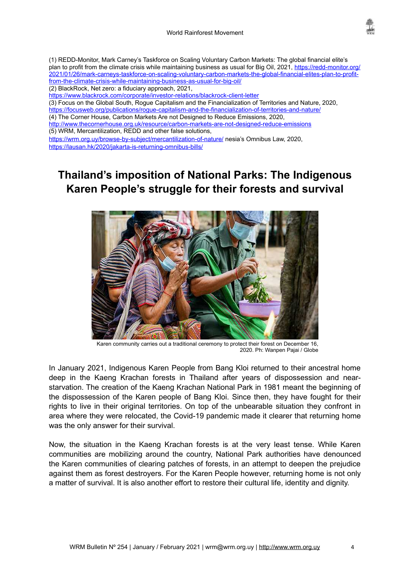

(1) REDD-Monitor, Mark Carney's Taskforce on Scaling Voluntary Carbon Markets: The global financial elite's plan to profit from the climate crisis while maintaining business as usual for Big Oil, 2021, [https://redd-monitor.org/](https://redd-monitor.org/2021/01/26/mark-carneys-taskforce-on-scaling-voluntary-carbon-markets-the-global-financial-elites-plan-to-profit-from-the-climate-crisis-while-maintaining-business-as-usual-for-big-oil/) [2021/01/26/mark-carneys-taskforce-on-scaling-voluntary-carbon-markets-the-global-financial-elites-plan-to-profit](https://redd-monitor.org/2021/01/26/mark-carneys-taskforce-on-scaling-voluntary-carbon-markets-the-global-financial-elites-plan-to-profit-from-the-climate-crisis-while-maintaining-business-as-usual-for-big-oil/)[from-the-climate-crisis-while-maintaining-business-as-usual-for-big-oil/](https://redd-monitor.org/2021/01/26/mark-carneys-taskforce-on-scaling-voluntary-carbon-markets-the-global-financial-elites-plan-to-profit-from-the-climate-crisis-while-maintaining-business-as-usual-for-big-oil/)  (2) BlackRock, Net zero: a fiduciary approach, 2021,

<https://www.blackrock.com/corporate/investor-relations/blackrock-client-letter>

(3) Focus on the Global South, Rogue Capitalism and the Financialization of Territories and Nature, 2020, <https://focusweb.org/publications/rogue-capitalism-and-the-financialization-of-territories-and-nature/>

(4) The Corner House, Carbon Markets Are not Designed to Reduce Emissions, 2020,

<http://www.thecornerhouse.org.uk/resource/carbon-markets-are-not-designed-reduce-emissions> (5) WRM, Mercantilization, REDD and other false solutions,

<https://wrm.org.uy/browse-by-subject/mercantilization-of-nature/>nesia's Omnibus Law, 2020,

<https://lausan.hk/2020/jakarta-is-returning-omnibus-bills/>

# <span id="page-3-0"></span>**Thailand's imposition of National Parks: The Indigenous Karen People's struggle for their forests and survival**



Karen community carries out a traditional ceremony to protect their forest on December 16, 2020. Ph: Wanpen Pajai / Globe

In January 2021, Indigenous Karen People from Bang Kloi returned to their ancestral home deep in the Kaeng Krachan forests in Thailand after years of dispossession and nearstarvation. The creation of the Kaeng Krachan National Park in 1981 meant the beginning of the dispossession of the Karen people of Bang Kloi. Since then, they have fought for their rights to live in their original territories. On top of the unbearable situation they confront in area where they were relocated, the Covid-19 pandemic made it clearer that returning home was the only answer for their survival.

Now, the situation in the Kaeng Krachan forests is at the very least tense. While Karen communities are mobilizing around the country, National Park authorities have denounced the Karen communities of clearing patches of forests, in an attempt to deepen the prejudice against them as forest destroyers. For the Karen People however, returning home is not only a matter of survival. It is also another effort to restore their cultural life, identity and dignity.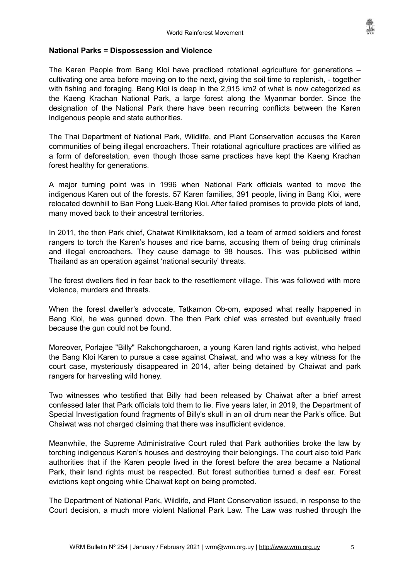

#### **National Parks = Dispossession and Violence**

The Karen People from Bang Kloi have practiced rotational agriculture for generations – cultivating one area before moving on to the next, giving the soil time to replenish, - together with fishing and foraging. Bang Kloi is deep in the 2,915 km2 of what is now categorized as the Kaeng Krachan National Park, a large forest along the Myanmar border. Since the designation of the National Park there have been recurring conflicts between the Karen indigenous people and state authorities.

The Thai Department of National Park, Wildlife, and Plant Conservation accuses the Karen communities of being illegal encroachers. Their rotational agriculture practices are vilified as a form of deforestation, even though those same practices have kept the Kaeng Krachan forest healthy for generations.

A major turning point was in 1996 when National Park officials wanted to move the indigenous Karen out of the forests. 57 Karen families, 391 people, living in Bang Kloi, were relocated downhill to Ban Pong Luek-Bang Kloi. After failed promises to provide plots of land, many moved back to their ancestral territories.

In 2011, the then Park chief, Chaiwat Kimlikitaksorn, led a team of armed soldiers and forest rangers to torch the Karen's houses and rice barns, accusing them of being drug criminals and illegal encroachers. They cause damage to 98 houses. This was publicised within Thailand as an operation against 'national security' threats.

The forest dwellers fled in fear back to the resettlement village. This was followed with more violence, murders and threats.

When the forest dweller's advocate, Tatkamon Ob-om, exposed what really happened in Bang Kloi, he was gunned down. The then Park chief was arrested but eventually freed because the gun could not be found.

Moreover, Porlajee "Billy" Rakchongcharoen, a young Karen land rights activist, who helped the Bang Kloi Karen to pursue a case against Chaiwat, and who was a key witness for the court case, mysteriously disappeared in 2014, after being detained by Chaiwat and park rangers for harvesting wild honey.

Two witnesses who testified that Billy had been released by Chaiwat after a brief arrest confessed later that Park officials told them to lie. Five years later, in 2019, the Department of Special Investigation found fragments of Billy's skull in an oil drum near the Park's office. But Chaiwat was not charged claiming that there was insufficient evidence.

Meanwhile, the Supreme Administrative Court ruled that Park authorities broke the law by torching indigenous Karen's houses and destroying their belongings. The court also told Park authorities that if the Karen people lived in the forest before the area became a National Park, their land rights must be respected. But forest authorities turned a deaf ear. Forest evictions kept ongoing while Chaiwat kept on being promoted.

The Department of National Park, Wildlife, and Plant Conservation issued, in response to the Court decision, a much more violent National Park Law. The Law was rushed through the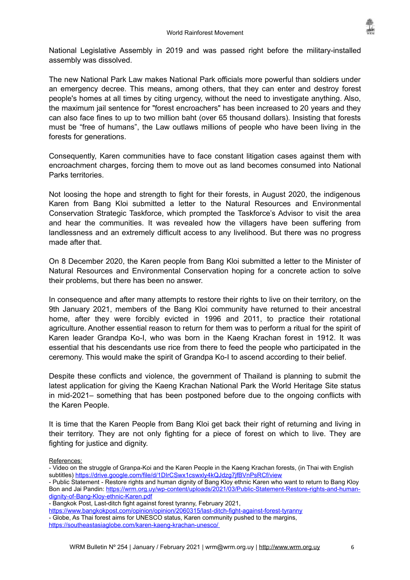

National Legislative Assembly in 2019 and was passed right before the military-installed assembly was dissolved.

The new National Park Law makes National Park officials more powerful than soldiers under an emergency decree. This means, among others, that they can enter and destroy forest people's homes at all times by citing urgency, without the need to investigate anything. Also, the maximum jail sentence for "forest encroachers" has been increased to 20 years and they can also face fines to up to two million baht (over 65 thousand dollars). Insisting that forests must be "free of humans", the Law outlaws millions of people who have been living in the forests for generations.

Consequently, Karen communities have to face constant litigation cases against them with encroachment charges, forcing them to move out as land becomes consumed into National Parks territories.

Not loosing the hope and strength to fight for their forests, in August 2020, the indigenous Karen from Bang Kloi submitted a letter to the Natural Resources and Environmental Conservation Strategic Taskforce, which prompted the Taskforce's Advisor to visit the area and hear the communities. It was revealed how the villagers have been suffering from landlessness and an extremely difficult access to any livelihood. But there was no progress made after that.

On 8 December 2020, the Karen people from Bang Kloi submitted a letter to the Minister of Natural Resources and Environmental Conservation hoping for a concrete action to solve their problems, but there has been no answer.

In consequence and after many attempts to restore their rights to live on their territory, on the 9th January 2021, members of the Bang Kloi community have returned to their ancestral home, after they were forcibly evicted in 1996 and 2011, to practice their rotational agriculture. Another essential reason to return for them was to perform a ritual for the spirit of Karen leader Grandpa Ko-I, who was born in the Kaeng Krachan forest in 1912. It was essential that his descendants use rice from there to feed the people who participated in the ceremony. This would make the spirit of Grandpa Ko-I to ascend according to their belief.

Despite these conflicts and violence, the government of Thailand is planning to submit the latest application for giving the Kaeng Krachan National Park the World Heritage Site status in mid-2021– something that has been postponed before due to the ongoing conflicts with the Karen People.

It is time that the Karen People from Bang Kloi get back their right of returning and living in their territory. They are not only fighting for a piece of forest on which to live. They are fighting for justice and dignity.

References:

- Video on the struggle of Granpa-Koi and the Karen People in the Kaeng Krachan forests, (in Thai with English subtitles)<https://drive.google.com/file/d/1DIrCSwx1cswxly4kQJdzg7jfBVnPsRCf/view>
- Public Statement Restore rights and human dignity of Bang Kloy ethnic Karen who want to return to Bang Kloy Bon and Jai Pandin: [https://wrm.org.uy/wp-content/uploads/2021/03/Public-Statement-Restore-rights-and-human](https://wrm.org.uy/wp-content/uploads/2021/03/Public-Statement-Restore-rights-and-human-dignity-of-Bang-Kloy-ethnic-Karen.pdf)[dignity-of-Bang-Kloy-ethnic-Karen.pdf](https://wrm.org.uy/wp-content/uploads/2021/03/Public-Statement-Restore-rights-and-human-dignity-of-Bang-Kloy-ethnic-Karen.pdf)

<https://www.bangkokpost.com/opinion/opinion/2060315/last-ditch-fight-against-forest-tyranny>

- Globe, As Thai forest aims for UNESCO status, Karen community pushed to the margins, <https://southeastasiaglobe.com/karen-kaeng-krachan-unesco/>

<sup>-</sup> Bangkok Post, Last-ditch fight against forest tyranny, February 2021,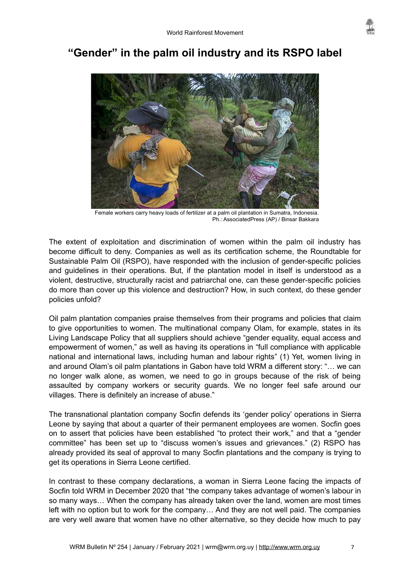

# <span id="page-6-0"></span>**"Gender" in the palm oil industry and its RSPO label**



Female workers carry heavy loads of fertilizer at a palm oil plantation in Sumatra, Indonesia. Ph.: AssociatedPress (AP) / Binsar Bakkara

The extent of exploitation and discrimination of women within the palm oil industry has become difficult to deny. Companies as well as its certification scheme, the Roundtable for Sustainable Palm Oil (RSPO), have responded with the inclusion of gender-specific policies and guidelines in their operations. But, if the plantation model in itself is understood as a violent, destructive, structurally racist and patriarchal one, can these gender-specific policies do more than cover up this violence and destruction? How, in such context, do these gender policies unfold?

Oil palm plantation companies praise themselves from their programs and policies that claim to give opportunities to women. The multinational company Olam, for example, states in its Living Landscape Policy that all suppliers should achieve "gender equality, equal access and empowerment of women," as well as having its operations in "full compliance with applicable national and international laws, including human and labour rights" (1) Yet, women living in and around Olam's oil palm plantations in Gabon have told WRM a different story: "… we can no longer walk alone, as women, we need to go in groups because of the risk of being assaulted by company workers or security guards. We no longer feel safe around our villages. There is definitely an increase of abuse."

The transnational plantation company Socfin defends its 'gender policy' operations in Sierra Leone by saying that about a quarter of their permanent employees are women. Socfin goes on to assert that policies have been established "to protect their work," and that a "gender committee" has been set up to "discuss women's issues and grievances." (2) RSPO has already provided its seal of approval to many Socfin plantations and the company is trying to get its operations in Sierra Leone certified.

In contrast to these company declarations, a woman in Sierra Leone facing the impacts of Socfin told WRM in December 2020 that "the company takes advantage of women's labour in so many ways… When the company has already taken over the land, women are most times left with no option but to work for the company… And they are not well paid. The companies are very well aware that women have no other alternative, so they decide how much to pay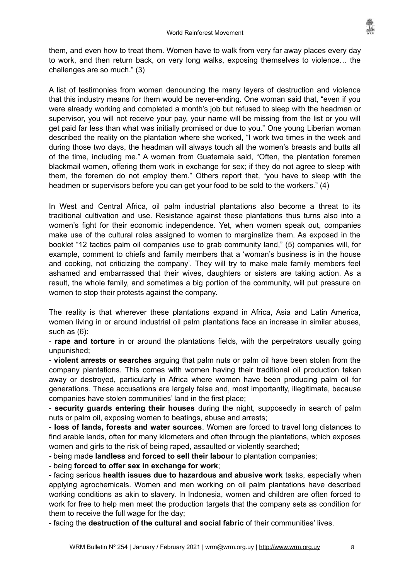

them, and even how to treat them. Women have to walk from very far away places every day to work, and then return back, on very long walks, exposing themselves to violence… the challenges are so much." (3)

A list of testimonies from women denouncing the many layers of destruction and violence that this industry means for them would be never-ending. One woman said that, "even if you were already working and completed a month's job but refused to sleep with the headman or supervisor, you will not receive your pay, your name will be missing from the list or you will get paid far less than what was initially promised or due to you." One young Liberian woman described the reality on the plantation where she worked, "I work two times in the week and during those two days, the headman will always touch all the women's breasts and butts all of the time, including me." A woman from Guatemala said, "Often, the plantation foremen blackmail women, offering them work in exchange for sex; if they do not agree to sleep with them, the foremen do not employ them." Others report that, "you have to sleep with the headmen or supervisors before you can get your food to be sold to the workers." (4)

In West and Central Africa, oil palm industrial plantations also become a threat to its traditional cultivation and use. Resistance against these plantations thus turns also into a women's fight for their economic independence. Yet, when women speak out, companies make use of the cultural roles assigned to women to marginalize them. As exposed in the booklet "12 tactics palm oil companies use to grab community land," (5) companies will, for example, comment to chiefs and family members that a 'woman's business is in the house and cooking, not criticizing the company'. They will try to make male family members feel ashamed and embarrassed that their wives, daughters or sisters are taking action. As a result, the whole family, and sometimes a big portion of the community, will put pressure on women to stop their protests against the company.

The reality is that wherever these plantations expand in Africa, Asia and Latin America, women living in or around industrial oil palm plantations face an increase in similar abuses, such as (6):

- **rape and torture** in or around the plantations fields, with the perpetrators usually going unpunished;

- **violent arrests or searches** arguing that palm nuts or palm oil have been stolen from the company plantations. This comes with women having their traditional oil production taken away or destroyed, particularly in Africa where women have been producing palm oil for generations. These accusations are largely false and, most importantly, illegitimate, because companies have stolen communities' land in the first place;

- **security guards entering their houses** during the night, supposedly in search of palm nuts or palm oil, exposing women to beatings, abuse and arrests;

- **loss of lands, forests and water sources**. Women are forced to travel long distances to find arable lands, often for many kilometers and often through the plantations, which exposes women and girls to the risk of being raped, assaulted or violently searched;

**-** being made **landless** and **forced to sell their labour** to plantation companies;

- being **forced to offer sex in exchange for work**;

- facing serious **health issues due to hazardous and abusive work** tasks, especially when applying agrochemicals. Women and men working on oil palm plantations have described working conditions as akin to slavery. In Indonesia, women and children are often forced to work for free to help men meet the production targets that the company sets as condition for them to receive the full wage for the day;

- facing the **destruction of the cultural and social fabric** of their communities' lives.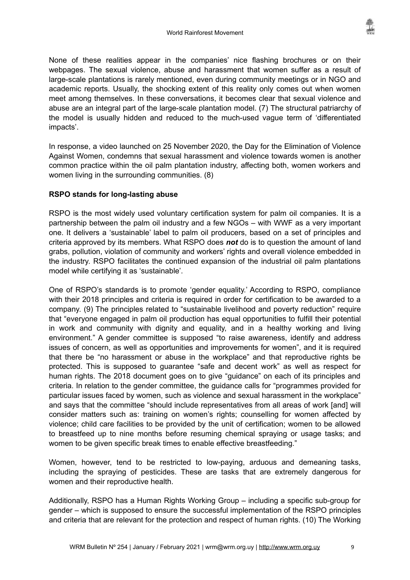None of these realities appear in the companies' nice flashing brochures or on their webpages. The sexual violence, abuse and harassment that women suffer as a result of large-scale plantations is rarely mentioned, even during community meetings or in NGO and academic reports. Usually, the shocking extent of this reality only comes out when women meet among themselves. In these conversations, it becomes clear that sexual violence and abuse are an integral part of the large-scale plantation model. (7) The structural patriarchy of the model is usually hidden and reduced to the much-used vague term of 'differentiated impacts'.

In response, a video launched on 25 November 2020, the Day for the Elimination of Violence Against Women, condemns that sexual harassment and violence towards women is another common practice within the oil palm plantation industry, affecting both, women workers and women living in the surrounding communities. (8)

### **RSPO stands for long-lasting abuse**

RSPO is the most widely used voluntary certification system for palm oil companies. It is a partnership between the palm oil industry and a few NGOs – with WWF as a very important one. It delivers a 'sustainable' label to palm oil producers, based on a set of principles and criteria approved by its members. What RSPO does *not* do is to question the amount of land grabs, pollution, violation of community and workers' rights and overall violence embedded in the industry. RSPO facilitates the continued expansion of the industrial oil palm plantations model while certifying it as 'sustainable'.

One of RSPO's standards is to promote 'gender equality.' According to RSPO, compliance with their 2018 principles and criteria is required in order for certification to be awarded to a company. (9) The principles related to "sustainable livelihood and poverty reduction" require that "everyone engaged in palm oil production has equal opportunities to fulfill their potential in work and community with dignity and equality, and in a healthy working and living environment." A gender committee is supposed "to raise awareness, identify and address issues of concern, as well as opportunities and improvements for women", and it is required that there be "no harassment or abuse in the workplace" and that reproductive rights be protected. This is supposed to guarantee "safe and decent work" as well as respect for human rights. The 2018 document goes on to give "guidance" on each of its principles and criteria. In relation to the gender committee, the guidance calls for "programmes provided for particular issues faced by women, such as violence and sexual harassment in the workplace" and says that the committee "should include representatives from all areas of work [and] will consider matters such as: training on women's rights; counselling for women affected by violence; child care facilities to be provided by the unit of certification; women to be allowed to breastfeed up to nine months before resuming chemical spraying or usage tasks; and women to be given specific break times to enable effective breastfeeding."

Women, however, tend to be restricted to low-paying, arduous and demeaning tasks, including the spraying of pesticides. These are tasks that are extremely dangerous for women and their reproductive health.

Additionally, RSPO has a Human Rights Working Group – including a specific sub-group for gender – which is supposed to ensure the successful implementation of the RSPO principles and criteria that are relevant for the protection and respect of human rights. (10) The Working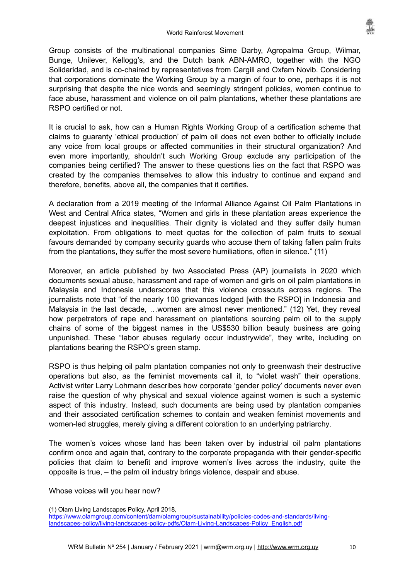Group consists of the multinational companies Sime Darby, Agropalma Group, Wilmar, Bunge, Unilever, Kellogg's, and the Dutch bank ABN-AMRO, together with the NGO Solidaridad, and is co-chaired by representatives from Cargill and Oxfam Novib. Considering that corporations dominate the Working Group by a margin of four to one, perhaps it is not surprising that despite the nice words and seemingly stringent policies, women continue to face abuse, harassment and violence on oil palm plantations, whether these plantations are RSPO certified or not.

It is crucial to ask, how can a Human Rights Working Group of a certification scheme that claims to guaranty 'ethical production' of palm oil does not even bother to officially include any voice from local groups or affected communities in their structural organization? And even more importantly, shouldn't such Working Group exclude any participation of the companies being certified? The answer to these questions lies on the fact that RSPO was created by the companies themselves to allow this industry to continue and expand and therefore, benefits, above all, the companies that it certifies.

A declaration from a 2019 meeting of the Informal Alliance Against Oil Palm Plantations in West and Central Africa states, "Women and girls in these plantation areas experience the deepest injustices and inequalities. Their dignity is violated and they suffer daily human exploitation. From obligations to meet quotas for the collection of palm fruits to sexual favours demanded by company security guards who accuse them of taking fallen palm fruits from the plantations, they suffer the most severe humiliations, often in silence." (11)

Moreover, an article published by two Associated Press (AP) journalists in 2020 which documents sexual abuse, harassment and rape of women and girls on oil palm plantations in Malaysia and Indonesia underscores that this violence crosscuts across regions. The journalists note that "of the nearly 100 grievances lodged [with the RSPO] in Indonesia and Malaysia in the last decade, …women are almost never mentioned." (12) Yet, they reveal how perpetrators of rape and harassment on plantations sourcing palm oil to the supply chains of some of the biggest names in the US\$530 billion beauty business are going unpunished. These "labor abuses regularly occur industrywide", they write, including on plantations bearing the RSPO's green stamp.

RSPO is thus helping oil palm plantation companies not only to greenwash their destructive operations but also, as the feminist movements call it, to "violet wash" their operations. Activist writer Larry Lohmann describes how corporate 'gender policy' documents never even raise the question of why physical and sexual violence against women is such a systemic aspect of this industry. Instead, such documents are being used by plantation companies and their associated certification schemes to contain and weaken feminist movements and women-led struggles, merely giving a different coloration to an underlying patriarchy.

The women's voices whose land has been taken over by industrial oil palm plantations confirm once and again that, contrary to the corporate propaganda with their gender-specific policies that claim to benefit and improve women's lives across the industry, quite the opposite is true, – the palm oil industry brings violence, despair and abuse.

Whose voices will you hear now?

<sup>(1)</sup> Olam Living Landscapes Policy, April 2018,

[https://www.olamgroup.com/content/dam/olamgroup/sustainability/policies-codes-and-standards/living](https://www.olamgroup.com/content/dam/olamgroup/sustainability/policies-codes-and-standards/living-landscapes-policy/living-landscapes-policy-pdfs/Olam-Living-Landscapes-Policy_English.pdf)[landscapes-policy/living-landscapes-policy-pdfs/Olam-Living-Landscapes-Policy\\_English.pdf](https://www.olamgroup.com/content/dam/olamgroup/sustainability/policies-codes-and-standards/living-landscapes-policy/living-landscapes-policy-pdfs/Olam-Living-Landscapes-Policy_English.pdf)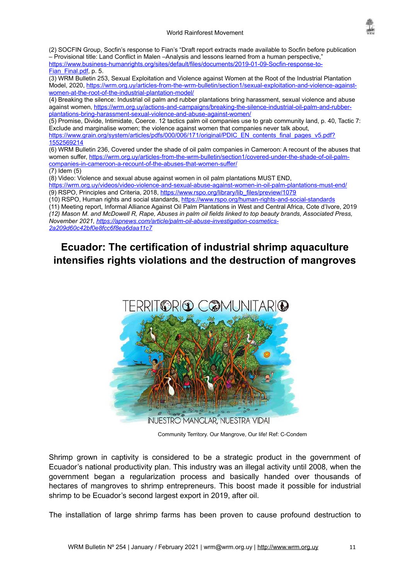

(2) SOCFIN Group, Socfin's response to Fian's "Draft report extracts made available to Socfin before publication – Provisional title: Land Conflict in Malen –Analysis and lessons learned from a human perspective," [https://www.business-humanrights.org/sites/default/files/documents/2019-01-09-Socfin-response-to-](https://www.business-humanrights.org/sites/default/files/documents/2019-01-09-Socfin-response-to-Fian_Final.pdf)[Fian\\_Final.pdf](https://www.business-humanrights.org/sites/default/files/documents/2019-01-09-Socfin-response-to-Fian_Final.pdf), p. 5.

(3) WRM Bulletin 253, Sexual Exploitation and Violence against Women at the Root of the Industrial Plantation Model, 2020, [https://wrm.org.uy/articles-from-the-wrm-bulletin/section1/sexual-exploitation-and-violence-against](https://wrm.org.uy/articles-from-the-wrm-bulletin/section1/sexual-exploitation-and-violence-against-women-at-the-root-of-the-industrial-plantation-model/)[women-at-the-root-of-the-industrial-plantation-model/](https://wrm.org.uy/articles-from-the-wrm-bulletin/section1/sexual-exploitation-and-violence-against-women-at-the-root-of-the-industrial-plantation-model/)

(4) Breaking the silence: Industrial oil palm and rubber plantations bring harassment, sexual violence and abuse against women, [https://wrm.org.uy/actions-and-campaigns/breaking-the-silence-industrial-oil-palm-and-rubber](https://wrm.org.uy/actions-and-campaigns/breaking-the-silence-industrial-oil-palm-and-rubber-plantations-bring-harassment-sexual-violence-and-abuse-against-women/)[plantations-bring-harassment-sexual-violence-and-abuse-against-women/](https://wrm.org.uy/actions-and-campaigns/breaking-the-silence-industrial-oil-palm-and-rubber-plantations-bring-harassment-sexual-violence-and-abuse-against-women/)

(5) Promise, Divide, Intimidate, Coerce. 12 tactics palm oil companies use to grab community land, p. 40, Tactic 7: Exclude and marginalise women; the violence against women that companies never talk about, [https://www.grain.org/system/articles/pdfs/000/006/171/original/PDIC\\_EN\\_contents\\_final\\_pages\\_v5.pdf?](https://www.grain.org/system/articles/pdfs/000/006/171/original/PDIC_EN_contents_final_pages_v5.pdf?1552569214) [1552569214](https://www.grain.org/system/articles/pdfs/000/006/171/original/PDIC_EN_contents_final_pages_v5.pdf?1552569214)

(6) WRM Bulletin 236, Covered under the shade of oil palm companies in Cameroon: A recount of the abuses that women suffer, [https://wrm.org.uy/articles-from-the-wrm-bulletin/section1/covered-under-the-shade-of-oil-palm](https://wrm.org.uy/articles-from-the-wrm-bulletin/section1/covered-under-the-shade-of-oil-palm-companies-in-cameroon-a-recount-of-the-abuses-that-women-suffer/)[companies-in-cameroon-a-recount-of-the-abuses-that-women-suffer/](https://wrm.org.uy/articles-from-the-wrm-bulletin/section1/covered-under-the-shade-of-oil-palm-companies-in-cameroon-a-recount-of-the-abuses-that-women-suffer/)

(7) Idem (5)

(8) Video: Violence and sexual abuse against women in oil palm plantations MUST END,

<https://wrm.org.uy/videos/video-violence-and-sexual-abuse-against-women-in-oil-palm-plantations-must-end/> (9) RSPO, Principles and Criteria, 2018, [https://www.rspo.org/library/lib\\_files/preview/1079](https://www.rspo.org/library/lib_files/preview/1079)

(10) RSPO, Human rights and social standards,<https://www.rspo.org/human-rights-and-social-standards>

(11) Meeting report, Informal Alliance Against Oil Palm Plantations in West and Central Africa, Cote d'Ivore, 2019 *(12) Mason M. and McDowell R, Rape, Abuses in palm oil fields linked to top beauty brands, Associated Press,* 

*November 2021, [https://apnews.com/article/palm-oil-abuse-investigation-cosmetics-](https://apnews.com/article/palm-oil-abuse-investigation-cosmetics-2a209d60c42bf0e8fcc6f8ea6daa11c7)[2a209d60c42bf0e8fcc6f8ea6daa11c7](https://apnews.com/article/palm-oil-abuse-investigation-cosmetics-2a209d60c42bf0e8fcc6f8ea6daa11c7)*

# <span id="page-10-0"></span>**Ecuador: The certification of industrial shrimp aquaculture intensifies rights violations and the destruction of mangroves**



Community Territory. Our Mangrove, Our life! Ref: C-Condem

Shrimp grown in captivity is considered to be a strategic product in the government of Ecuador's national productivity plan. This industry was an illegal activity until 2008, when the government began a regularization process and basically handed over thousands of hectares of mangroves to shrimp entrepreneurs. This boost made it possible for industrial shrimp to be Ecuador's second largest export in 2019, after oil.

The installation of large shrimp farms has been proven to cause profound destruction to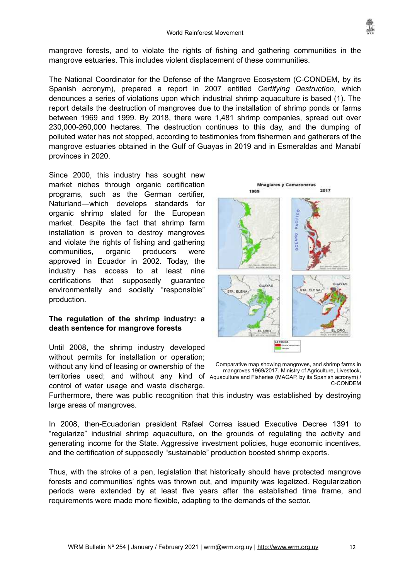

mangrove forests, and to violate the rights of fishing and gathering communities in the mangrove estuaries. This includes violent displacement of these communities.

The National Coordinator for the Defense of the Mangrove Ecosystem (C-CONDEM, by its Spanish acronym), prepared a report in 2007 entitled *Certifying Destruction*, which denounces a series of violations upon which industrial shrimp aquaculture is based (1). The report details the destruction of mangroves due to the installation of shrimp ponds or farms between 1969 and 1999. By 2018, there were 1,481 shrimp companies, spread out over 230,000-260,000 hectares. The destruction continues to this day, and the dumping of polluted water has not stopped, according to testimonies from fishermen and gatherers of the mangrove estuaries obtained in the Gulf of Guayas in 2019 and in Esmeraldas and Manabí provinces in 2020.

Since 2000, this industry has sought new market niches through organic certification programs, such as the German certifier, Naturland—which develops standards for organic shrimp slated for the European market. Despite the fact that shrimp farm installation is proven to destroy mangroves and violate the rights of fishing and gathering communities, organic producers were approved in Ecuador in 2002. Today, the industry has access to at least nine certifications that supposedly guarantee environmentally and socially "responsible" production.

### **The regulation of the shrimp industry: a death sentence for mangrove forests**

Until 2008, the shrimp industry developed without permits for installation or operation; without any kind of leasing or ownership of the territories used; and without any kind of Aquaculture and Fisheries (MAGAP, by its Spanish acronym) control of water usage and waste discharge.



Comparative map showing mangroves, and shrimp farms in mangroves 1969/2017. Ministry of Agriculture, Livestock, C-CONDEM

Furthermore, there was public recognition that this industry was established by destroying large areas of mangroves.

In 2008, then-Ecuadorian president Rafael Correa issued Executive Decree 1391 to "regularize" industrial shrimp aquaculture, on the grounds of regulating the activity and generating income for the State. Aggressive investment policies, huge economic incentives, and the certification of supposedly "sustainable" production boosted shrimp exports.

Thus, with the stroke of a pen, legislation that historically should have protected mangrove forests and communities' rights was thrown out, and impunity was legalized. Regularization periods were extended by at least five years after the established time frame, and requirements were made more flexible, adapting to the demands of the sector.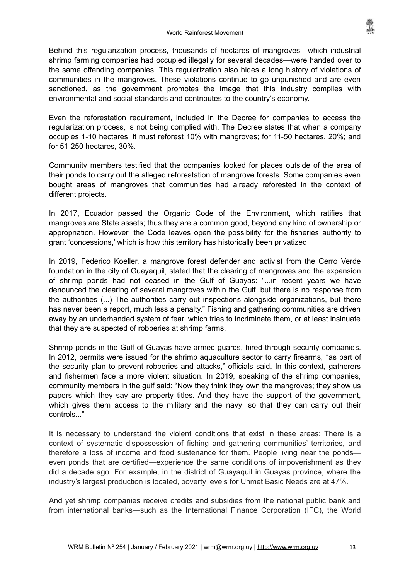Behind this regularization process, thousands of hectares of mangroves—which industrial shrimp farming companies had occupied illegally for several decades—were handed over to the same offending companies. This regularization also hides a long history of violations of communities in the mangroves. These violations continue to go unpunished and are even sanctioned, as the government promotes the image that this industry complies with environmental and social standards and contributes to the country's economy.

Even the reforestation requirement, included in the Decree for companies to access the regularization process, is not being complied with. The Decree states that when a company occupies 1-10 hectares, it must reforest 10% with mangroves; for 11-50 hectares, 20%; and for 51-250 hectares, 30%.

Community members testified that the companies looked for places outside of the area of their ponds to carry out the alleged reforestation of mangrove forests. Some companies even bought areas of mangroves that communities had already reforested in the context of different projects.

In 2017, Ecuador passed the Organic Code of the Environment, which ratifies that mangroves are State assets; thus they are a common good, beyond any kind of ownership or appropriation. However, the Code leaves open the possibility for the fisheries authority to grant 'concessions,' which is how this territory has historically been privatized.

In 2019, Federico Koeller, a mangrove forest defender and activist from the Cerro Verde foundation in the city of Guayaquil, stated that the clearing of mangroves and the expansion of shrimp ponds had not ceased in the Gulf of Guayas: "...in recent years we have denounced the clearing of several mangroves within the Gulf, but there is no response from the authorities (...) The authorities carry out inspections alongside organizations, but there has never been a report, much less a penalty." Fishing and gathering communities are driven away by an underhanded system of fear, which tries to incriminate them, or at least insinuate that they are suspected of robberies at shrimp farms.

Shrimp ponds in the Gulf of Guayas have armed guards, hired through security companies. In 2012, permits were issued for the shrimp aquaculture sector to carry firearms, "as part of the security plan to prevent robberies and attacks," officials said. In this context, gatherers and fishermen face a more violent situation. In 2019, speaking of the shrimp companies, community members in the gulf said: "Now they think they own the mangroves; they show us papers which they say are property titles. And they have the support of the government, which gives them access to the military and the navy, so that they can carry out their controls..."

It is necessary to understand the violent conditions that exist in these areas: There is a context of systematic dispossession of fishing and gathering communities' territories, and therefore a loss of income and food sustenance for them. People living near the ponds even ponds that are certified—experience the same conditions of impoverishment as they did a decade ago. For example, in the district of Guayaquil in Guayas province, where the industry's largest production is located, poverty levels for Unmet Basic Needs are at 47%.

And yet shrimp companies receive credits and subsidies from the national public bank and from international banks—such as the International Finance Corporation (IFC), the World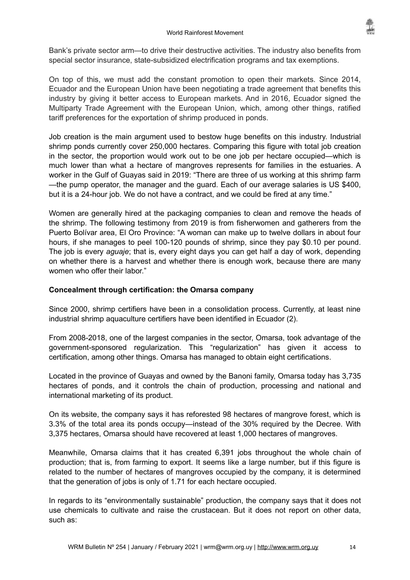

Bank's private sector arm—to drive their destructive activities. The industry also benefits from special sector insurance, state-subsidized electrification programs and tax exemptions.

On top of this, we must add the constant promotion to open their markets. Since 2014, Ecuador and the European Union have been negotiating a trade agreement that benefits this industry by giving it better access to European markets. And in 2016, Ecuador signed the Multiparty Trade Agreement with the European Union, which, among other things, ratified tariff preferences for the exportation of shrimp produced in ponds.

Job creation is the main argument used to bestow huge benefits on this industry. Industrial shrimp ponds currently cover 250,000 hectares. Comparing this figure with total job creation in the sector, the proportion would work out to be one job per hectare occupied—which is much lower than what a hectare of mangroves represents for families in the estuaries. A worker in the Gulf of Guayas said in 2019: "There are three of us working at this shrimp farm —the pump operator, the manager and the guard. Each of our average salaries is US \$400, but it is a 24-hour job. We do not have a contract, and we could be fired at any time."

Women are generally hired at the packaging companies to clean and remove the heads of the shrimp. The following testimony from 2019 is from fisherwomen and gatherers from the Puerto Bolívar area, El Oro Province: "A woman can make up to twelve dollars in about four hours, if she manages to peel 100-120 pounds of shrimp, since they pay \$0.10 per pound. The job is every *aguaje*; that is, every eight days you can get half a day of work, depending on whether there is a harvest and whether there is enough work, because there are many women who offer their labor."

#### **Concealment through certification: the Omarsa company**

Since 2000, shrimp certifiers have been in a consolidation process. Currently, at least nine industrial shrimp aquaculture certifiers have been identified in Ecuador (2).

From 2008-2018, one of the largest companies in the sector, Omarsa, took advantage of the government-sponsored regularization. This "regularization" has given it access to certification, among other things. Omarsa has managed to obtain eight certifications.

Located in the province of Guayas and owned by the Banoni family, Omarsa today has 3,735 hectares of ponds, and it controls the chain of production, processing and national and international marketing of its product.

On its website, the company says it has reforested 98 hectares of mangrove forest, which is 3.3% of the total area its ponds occupy—instead of the 30% required by the Decree. With 3,375 hectares, Omarsa should have recovered at least 1,000 hectares of mangroves.

Meanwhile, Omarsa claims that it has created 6,391 jobs throughout the whole chain of production; that is, from farming to export. It seems like a large number, but if this figure is related to the number of hectares of mangroves occupied by the company, it is determined that the generation of jobs is only of 1.71 for each hectare occupied.

In regards to its "environmentally sustainable" production, the company says that it does not use chemicals to cultivate and raise the crustacean. But it does not report on other data, such as: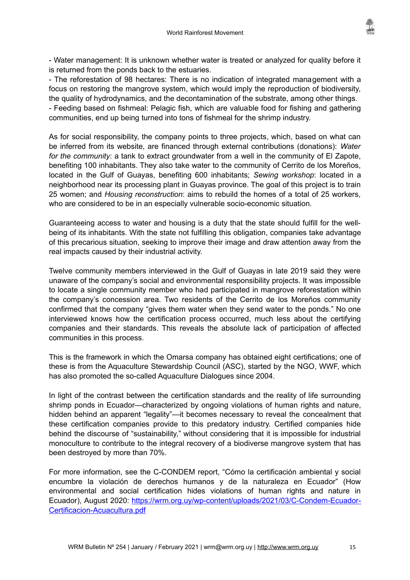

- Water management: It is unknown whether water is treated or analyzed for quality before it is returned from the ponds back to the estuaries.

- The reforestation of 98 hectares: There is no indication of integrated management with a focus on restoring the mangrove system, which would imply the reproduction of biodiversity, the quality of hydrodynamics, and the decontamination of the substrate, among other things. - Feeding based on fishmeal: Pelagic fish, which are valuable food for fishing and gathering communities, end up being turned into tons of fishmeal for the shrimp industry.

As for social responsibility, the company points to three projects, which, based on what can be inferred from its website, are financed through external contributions (donations): *Water for the community*: a tank to extract groundwater from a well in the community of El Zapote, benefiting 100 inhabitants. They also take water to the community of Cerrito de los Moreños, located in the Gulf of Guayas, benefiting 600 inhabitants; *Sewing workshop*: located in a neighborhood near its processing plant in Guayas province. The goal of this project is to train 25 women; and *Housing reconstruction*: aims to rebuild the homes of a total of 25 workers, who are considered to be in an especially vulnerable socio-economic situation.

Guaranteeing access to water and housing is a duty that the state should fulfill for the wellbeing of its inhabitants. With the state not fulfilling this obligation, companies take advantage of this precarious situation, seeking to improve their image and draw attention away from the real impacts caused by their industrial activity.

Twelve community members interviewed in the Gulf of Guayas in late 2019 said they were unaware of the company's social and environmental responsibility projects. It was impossible to locate a single community member who had participated in mangrove reforestation within the company's concession area. Two residents of the Cerrito de los Moreños community confirmed that the company "gives them water when they send water to the ponds." No one interviewed knows how the certification process occurred, much less about the certifying companies and their standards. This reveals the absolute lack of participation of affected communities in this process.

This is the framework in which the Omarsa company has obtained eight certifications; one of these is from the Aquaculture Stewardship Council (ASC), started by the NGO, WWF, which has also promoted the so-called Aquaculture Dialogues since 2004.

In light of the contrast between the certification standards and the reality of life surrounding shrimp ponds in Ecuador—characterized by ongoing violations of human rights and nature, hidden behind an apparent "legality"—it becomes necessary to reveal the concealment that these certification companies provide to this predatory industry. Certified companies hide behind the discourse of "sustainability," without considering that it is impossible for industrial monoculture to contribute to the integral recovery of a biodiverse mangrove system that has been destroyed by more than 70%.

For more information, see the C-CONDEM report, "Cómo la certificación ambiental y social encumbre la violación de derechos humanos y de la naturaleza en Ecuador" (How environmental and social certification hides violations of human rights and nature in Ecuador), August 2020: [https://wrm.org.uy/wp-content/uploads/2021/03/C-Condem-Ecuador-](https://wrm.org.uy/wp-content/uploads/2021/03/C-Condem-Ecuador-Certificacion-Acuacultura.pdf)[Certificacion-Acuacultura.pdf](https://wrm.org.uy/wp-content/uploads/2021/03/C-Condem-Ecuador-Certificacion-Acuacultura.pdf)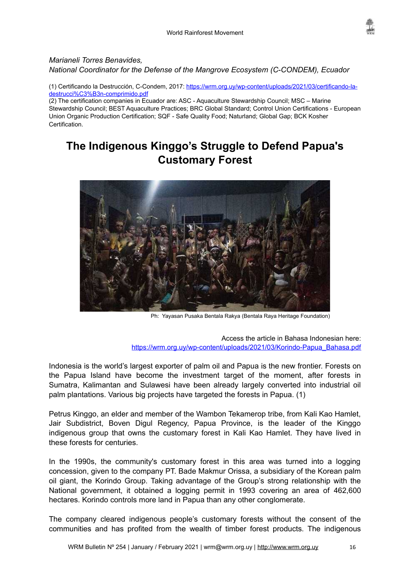

#### *Marianeli Torres Benavides, National Coordinator for the Defense of the Mangrove Ecosystem (C-CONDEM), Ecuador*

(1) Certificando la Destrucción, C-Condem, 2017: [https://wrm.org.uy/wp-content/uploads/2021/03/certificando-la](https://wrm.org.uy/wp-content/uploads/2021/03/certificando-la-destrucci%C3%B3n-comprimido.pdf)[destrucci%C3%B3n-comprimido.pdf](https://wrm.org.uy/wp-content/uploads/2021/03/certificando-la-destrucci%C3%B3n-comprimido.pdf)

(2) The certification companies in Ecuador are: ASC - Aquaculture Stewardship Council; MSC – Marine Stewardship Council; BEST Aquaculture Practices; BRC Global Standard; Control Union Certifications - European Union Organic Production Certification; SQF - Safe Quality Food; Naturland; Global Gap; BCK Kosher Certification.

# <span id="page-15-0"></span>**The Indigenous Kinggo's Struggle to Defend Papua's Customary Forest**



Ph: Yayasan Pusaka Bentala Rakya (Bentala Raya Heritage Foundation)

Access the article in Bahasa Indonesian here: [https://wrm.org.uy/wp-content/uploads/2021/03/Korindo-Papua\\_Bahasa.pdf](https://wrm.org.uy/wp-content/uploads/2021/03/Korindo-Papua_Bahasa.pdf)

Indonesia is the world's largest exporter of palm oil and Papua is the new frontier. Forests on the Papua Island have become the investment target of the moment, after forests in Sumatra, Kalimantan and Sulawesi have been already largely converted into industrial oil palm plantations. Various big projects have targeted the forests in Papua. (1)

Petrus Kinggo, an elder and member of the Wambon Tekamerop tribe, from Kali Kao Hamlet, Jair Subdistrict, Boven Digul Regency, Papua Province, is the leader of the Kinggo indigenous group that owns the customary forest in Kali Kao Hamlet. They have lived in these forests for centuries.

In the 1990s, the community's customary forest in this area was turned into a logging concession, given to the company PT. Bade Makmur Orissa, a subsidiary of the Korean palm oil giant, the Korindo Group. Taking advantage of the Group's strong relationship with the National government, it obtained a logging permit in 1993 covering an area of 462,600 hectares. Korindo controls more land in Papua than any other conglomerate.

The company cleared indigenous people's customary forests without the consent of the communities and has profited from the wealth of timber forest products. The indigenous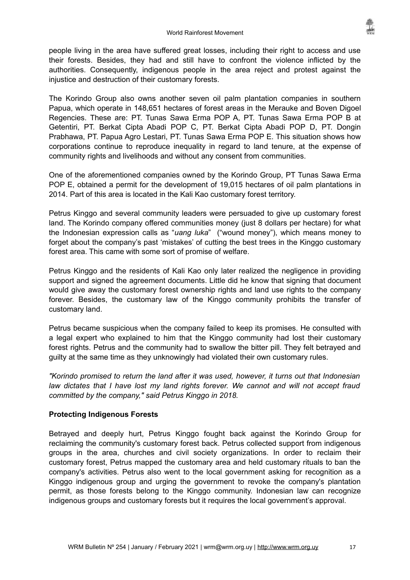people living in the area have suffered great losses, including their right to access and use their forests. Besides, they had and still have to confront the violence inflicted by the authorities. Consequently, indigenous people in the area reject and protest against the injustice and destruction of their customary forests.

The Korindo Group also owns another seven oil palm plantation companies in southern Papua, which operate in 148,651 hectares of forest areas in the Merauke and Boven Digoel Regencies. These are: PT. Tunas Sawa Erma POP A, PT. Tunas Sawa Erma POP B at Getentiri, PT. Berkat Cipta Abadi POP C, PT. Berkat Cipta Abadi POP D, PT. Dongin Prabhawa, PT. Papua Agro Lestari, PT. Tunas Sawa Erma POP E. This situation shows how corporations continue to reproduce inequality in regard to land tenure, at the expense of community rights and livelihoods and without any consent from communities.

One of the aforementioned companies owned by the Korindo Group, PT Tunas Sawa Erma POP E, obtained a permit for the development of 19,015 hectares of oil palm plantations in 2014. Part of this area is located in the Kali Kao customary forest territory.

Petrus Kinggo and several community leaders were persuaded to give up customary forest land. The Korindo company offered communities money (just 8 dollars per hectare) for what the Indonesian expression calls as "*uang luka*" ("wound money"), which means money to forget about the company's past 'mistakes' of cutting the best trees in the Kinggo customary forest area. This came with some sort of promise of welfare.

Petrus Kinggo and the residents of Kali Kao only later realized the negligence in providing support and signed the agreement documents. Little did he know that signing that document would give away the customary forest ownership rights and land use rights to the company forever. Besides, the customary law of the Kinggo community prohibits the transfer of customary land.

Petrus became suspicious when the company failed to keep its promises. He consulted with a legal expert who explained to him that the Kinggo community had lost their customary forest rights. Petrus and the community had to swallow the bitter pill. They felt betrayed and guilty at the same time as they unknowingly had violated their own customary rules.

*"Korindo promised to return the land after it was used, however, it turns out that Indonesian law dictates that I have lost my land rights forever. We cannot and will not accept fraud committed by the company," said Petrus Kinggo in 2018.*

#### **Protecting Indigenous Forests**

Betrayed and deeply hurt, Petrus Kinggo fought back against the Korindo Group for reclaiming the community's customary forest back. Petrus collected support from indigenous groups in the area, churches and civil society organizations. In order to reclaim their customary forest, Petrus mapped the customary area and held customary rituals to ban the company's activities. Petrus also went to the local government asking for recognition as a Kinggo indigenous group and urging the government to revoke the company's plantation permit, as those forests belong to the Kinggo community. Indonesian law can recognize indigenous groups and customary forests but it requires the local government's approval.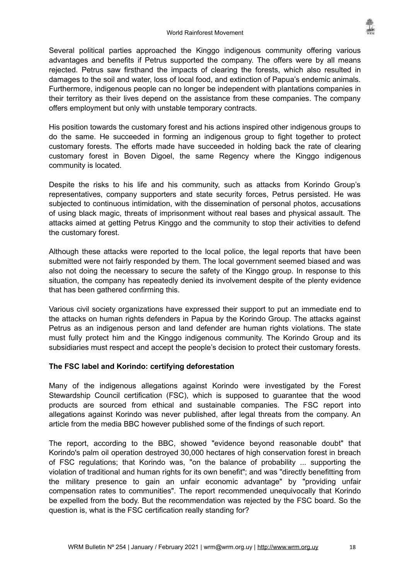Several political parties approached the Kinggo indigenous community offering various advantages and benefits if Petrus supported the company. The offers were by all means rejected. Petrus saw firsthand the impacts of clearing the forests, which also resulted in damages to the soil and water, loss of local food, and extinction of Papua's endemic animals. Furthermore, indigenous people can no longer be independent with plantations companies in their territory as their lives depend on the assistance from these companies. The company offers employment but only with unstable temporary contracts.

His position towards the customary forest and his actions inspired other indigenous groups to do the same. He succeeded in forming an indigenous group to fight together to protect customary forests. The efforts made have succeeded in holding back the rate of clearing customary forest in Boven Digoel, the same Regency where the Kinggo indigenous community is located.

Despite the risks to his life and his community, such as attacks from Korindo Group's representatives, company supporters and state security forces, Petrus persisted. He was subjected to continuous intimidation, with the dissemination of personal photos, accusations of using black magic, threats of imprisonment without real bases and physical assault. The attacks aimed at getting Petrus Kinggo and the community to stop their activities to defend the customary forest.

Although these attacks were reported to the local police, the legal reports that have been submitted were not fairly responded by them. The local government seemed biased and was also not doing the necessary to secure the safety of the Kinggo group. In response to this situation, the company has repeatedly denied its involvement despite of the plenty evidence that has been gathered confirming this.

Various civil society organizations have expressed their support to put an immediate end to the attacks on human rights defenders in Papua by the Korindo Group. The attacks against Petrus as an indigenous person and land defender are human rights violations. The state must fully protect him and the Kinggo indigenous community. The Korindo Group and its subsidiaries must respect and accept the people's decision to protect their customary forests.

#### **The FSC label and Korindo: certifying deforestation**

Many of the indigenous allegations against Korindo were investigated by the Forest Stewardship Council certification (FSC), which is supposed to guarantee that the wood products are sourced from ethical and sustainable companies. The FSC report into allegations against Korindo was never published, after legal threats from the company. An article from the media BBC however published some of the findings of such report.

The report, according to the BBC, showed "evidence beyond reasonable doubt" that Korindo's palm oil operation destroyed 30,000 hectares of high conservation forest in breach of FSC regulations; that Korindo was, "on the balance of probability ... supporting the violation of traditional and human rights for its own benefit"; and was "directly benefitting from the military presence to gain an unfair economic advantage" by "providing unfair compensation rates to communities". The report recommended unequivocally that Korindo be expelled from the body. But the recommendation was rejected by the FSC board. So the question is, what is the FSC certification really standing for?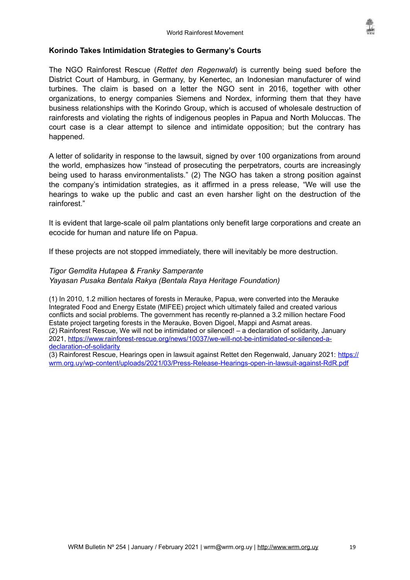

#### **Korindo Takes Intimidation Strategies to Germany's Courts**

The NGO Rainforest Rescue (*Rettet den Regenwald*) is currently being sued before the District Court of Hamburg, in Germany, by Kenertec, an Indonesian manufacturer of wind turbines. The claim is based on a letter the NGO sent in 2016, together with other organizations, to energy companies Siemens and Nordex, informing them that they have business relationships with the Korindo Group, which is accused of wholesale destruction of rainforests and violating the rights of indigenous peoples in Papua and North Moluccas. The court case is a clear attempt to silence and intimidate opposition; but the contrary has happened.

A letter of solidarity in response to the lawsuit, signed by over 100 organizations from around the world, emphasizes how "instead of prosecuting the perpetrators, courts are increasingly being used to harass environmentalists*.*" (2) The NGO has taken a strong position against the company's intimidation strategies, as it affirmed in a press release, "We will use the hearings to wake up the public and cast an even harsher light on the destruction of the rainforest."

It is evident that large-scale oil palm plantations only benefit large corporations and create an ecocide for human and nature life on Papua.

If these projects are not stopped immediately, there will inevitably be more destruction.

#### *Tigor Gemdita Hutapea & Franky Samperante Yayasan Pusaka Bentala Rakya (Bentala Raya Heritage Foundation)*

(1) In 2010, 1.2 million hectares of forests in Merauke, Papua, were converted into the Merauke Integrated Food and Energy Estate (MIFEE) project which ultimately failed and created various conflicts and social problems. The government has recently re-planned a 3.2 million hectare Food Estate project targeting forests in the Merauke, Boven Digoel, Mappi and Asmat areas. (2) Rainforest Rescue, We will not be intimidated or silenced! – a declaration of solidarity, January 2021, [https://www.rainforest-rescue.org/news/10037/we-will-not-be-intimidated-or-silenced-a](https://www.rainforest-rescue.org/news/10037/we-will-not-be-intimidated-or-silenced-a-declaration-of-solidarity)[declaration-of-solidarity](https://www.rainforest-rescue.org/news/10037/we-will-not-be-intimidated-or-silenced-a-declaration-of-solidarity)

(3) Rainforest Rescue, Hearings open in lawsuit against Rettet den Regenwald, January 2021: [https://](https://wrm.org.uy/wp-content/uploads/2021/03/Press-Release-Hearings-open-in-lawsuit-against-RdR.pdf) [wrm.org.uy/wp-content/uploads/2021/03/Press-Release-Hearings-open-in-lawsuit-against-RdR.pdf](https://wrm.org.uy/wp-content/uploads/2021/03/Press-Release-Hearings-open-in-lawsuit-against-RdR.pdf)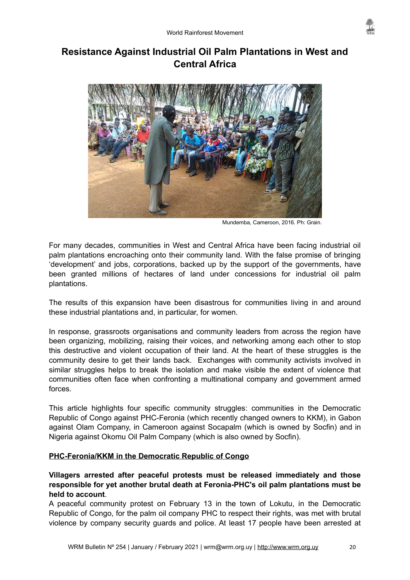

# <span id="page-19-0"></span>**Resistance Against Industrial Oil Palm Plantations in West and Central Africa**



Mundemba, Cameroon, 2016. Ph: Grain.

For many decades, communities in West and Central Africa have been facing industrial oil palm plantations encroaching onto their community land. With the false promise of bringing 'development' and jobs, corporations, backed up by the support of the governments, have been granted millions of hectares of land under concessions for industrial oil palm plantations.

The results of this expansion have been disastrous for communities living in and around these industrial plantations and, in particular, for women.

In response, grassroots organisations and community leaders from across the region have been organizing, mobilizing, raising their voices, and networking among each other to stop this destructive and violent occupation of their land. At the heart of these struggles is the community desire to get their lands back. Exchanges with community activists involved in similar struggles helps to break the isolation and make visible the extent of violence that communities often face when confronting a multinational company and government armed forces.

This article highlights four specific community struggles: communities in the Democratic Republic of Congo against PHC-Feronia (which recently changed owners to KKM), in Gabon against Olam Company, in Cameroon against Socapalm (which is owned by Socfin) and in Nigeria against Okomu Oil Palm Company (which is also owned by Socfin).

### **PHC-Feronia/KKM in the Democratic Republic of Congo**

### **Villagers arrested after peaceful protests must be released immediately and those responsible for yet another brutal death at Feronia-PHC's oil palm plantations must be held to account**.

A peaceful community protest on February 13 in the town of Lokutu, in the Democratic Republic of Congo, for the palm oil company PHC to respect their rights, was met with brutal violence by company security guards and police. At least 17 people have been arrested at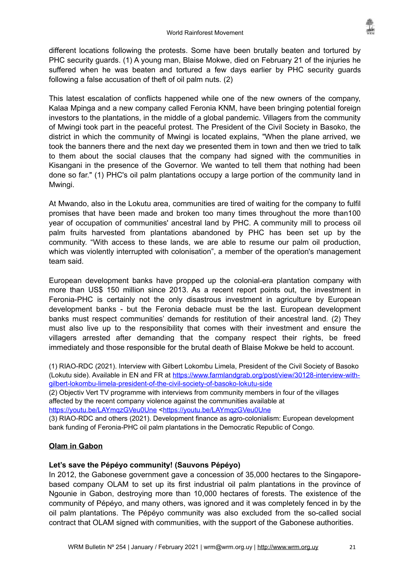different locations following the protests. Some have been brutally beaten and tortured by PHC security guards. (1) A young man, Blaise Mokwe, died on February 21 of the injuries he suffered when he was beaten and tortured a few days earlier by PHC security guards following a false accusation of theft of oil palm nuts. (2)

This latest escalation of conflicts happened while one of the new owners of the company, Kalaa Mpinga and a new company called Feronia KNM, have been bringing potential foreign investors to the plantations, in the middle of a global pandemic. Villagers from the community of Mwingi took part in the peaceful protest. The President of the Civil Society in Basoko, the district in which the community of Mwingi is located explains, "When the plane arrived, we took the banners there and the next day we presented them in town and then we tried to talk to them about the social clauses that the company had signed with the communities in Kisangani in the presence of the Governor. We wanted to tell them that nothing had been done so far." (1) PHC's oil palm plantations occupy a large portion of the community land in Mwingi.

At Mwando, also in the Lokutu area, communities are tired of waiting for the company to fulfil promises that have been made and broken too many times throughout the more than100 year of occupation of communities' ancestral land by PHC. A community mill to process oil palm fruits harvested from plantations abandoned by PHC has been set up by the community. "With access to these lands, we are able to resume our palm oil production, which was violently interrupted with colonisation", a member of the operation's management team said.

European development banks have propped up the colonial-era plantation company with more than US\$ 150 million since 2013. As a recent report points out, the investment in Feronia-PHC is certainly not the only disastrous investment in agriculture by European development banks - but the Feronia debacle must be the last. European development banks must respect communities' demands for restitution of their ancestral land. (2) They must also live up to the responsibility that comes with their investment and ensure the villagers arrested after demanding that the company respect their rights, be freed immediately and those responsible for the brutal death of Blaise Mokwe be held to account.

(1) RIAO-RDC (2021). Interview with Gilbert Lokombu Limela, President of the Civil Society of Basoko (Lokutu side). Available in EN and FR at [https://www.farmlandgrab.org/post/view/30128-interview-with](https://www.farmlandgrab.org/post/view/30128-interview-with-gilbert-lokombu-limela-president-of-the-civil-society-of-basoko-lokutu-side)[gilbert-lokombu-limela-president-of-the-civil-society-of-basoko-lokutu-side](https://www.farmlandgrab.org/post/view/30128-interview-with-gilbert-lokombu-limela-president-of-the-civil-society-of-basoko-lokutu-side)

(2) Objectiv Vert TV programme with interviews from community members in four of the villages affected by the recent company violence against the communities available at

<https://youtu.be/LAYmqzGVeu0Une> [<https://youtu.be/LAYmqzGVeu0Une](https://youtu.be/LAYmqzGVeu0Une)

(3) RIAO-RDC and others (2021). Development finance as agro-colonialism: European development bank funding of Feronia-PHC oil palm plantations in the Democratic Republic of Congo.

### **Olam in Gabon**

#### **Let's save the Pépéyo community! (Sauvons Pépéyo)**

In 2012, the Gabonese government gave a concession of 35,000 hectares to the Singaporebased company OLAM to set up its first industrial oil palm plantations in the province of Ngounie in Gabon, destroying more than 10,000 hectares of forests. The existence of the community of Pépéyo, and many others, was ignored and it was completely fenced in by the oil palm plantations. The Pépéyo community was also excluded from the so-called social contract that OLAM signed with communities, with the support of the Gabonese authorities.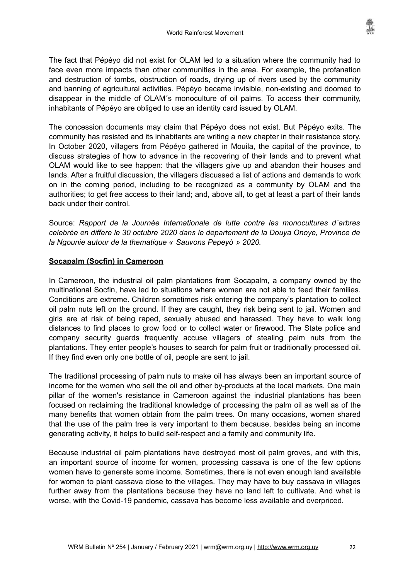The fact that Pépéyo did not exist for OLAM led to a situation where the community had to face even more impacts than other communities in the area. For example, the profanation and destruction of tombs, obstruction of roads, drying up of rivers used by the community and banning of agricultural activities. Pépéyo became invisible, non-existing and doomed to disappear in the middle of OLAM´s monoculture of oil palms. To access their community, inhabitants of Pépéyo are obliged to use an identity card issued by OLAM.

The concession documents may claim that Pépéyo does not exist. But Pépéyo exits. The community has resisted and its inhabitants are writing a new chapter in their resistance story. In October 2020, villagers from Pépéyo gathered in Mouila, the capital of the province, to discuss strategies of how to advance in the recovering of their lands and to prevent what OLAM would like to see happen: that the villagers give up and abandon their houses and lands. After a fruitful discussion, the villagers discussed a list of actions and demands to work on in the coming period, including to be recognized as a community by OLAM and the authorities; to get free access to their land; and, above all, to get at least a part of their lands back under their control.

Source: *Rapport de la Journée Internationale de lutte contre les monocultures d´arbres celebrée en differe le 30 octubre 2020 dans le departement de la Douya Onoye, Province de la Ngounie autour de la thematique « Sauvons Pepeyó » 2020.*

#### **Socapalm (Socfin) in Cameroon**

In Cameroon, the industrial oil palm plantations from Socapalm, a company owned by the multinational Socfin, have led to situations where women are not able to feed their families. Conditions are extreme. Children sometimes risk entering the company's plantation to collect oil palm nuts left on the ground. If they are caught, they risk being sent to jail. Women and girls are at risk of being raped, sexually abused and harassed. They have to walk long distances to find places to grow food or to collect water or firewood. The State police and company security guards frequently accuse villagers of stealing palm nuts from the plantations. They enter people's houses to search for palm fruit or traditionally processed oil. If they find even only one bottle of oil, people are sent to jail.

The traditional processing of palm nuts to make oil has always been an important source of income for the women who sell the oil and other by-products at the local markets. One main pillar of the women's resistance in Cameroon against the industrial plantations has been focused on reclaiming the traditional knowledge of processing the palm oil as well as of the many benefits that women obtain from the palm trees. On many occasions, women shared that the use of the palm tree is very important to them because, besides being an income generating activity, it helps to build self-respect and a family and community life.

Because industrial oil palm plantations have destroyed most oil palm groves, and with this, an important source of income for women, processing cassava is one of the few options women have to generate some income. Sometimes, there is not even enough land available for women to plant cassava close to the villages. They may have to buy cassava in villages further away from the plantations because they have no land left to cultivate. And what is worse, with the Covid-19 pandemic, cassava has become less available and overpriced.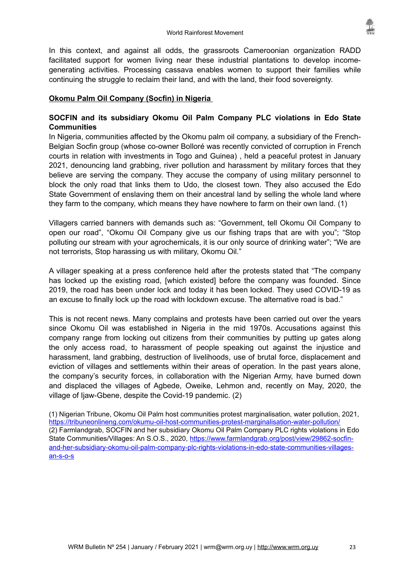In this context, and against all odds, the grassroots Cameroonian organization RADD facilitated support for women living near these industrial plantations to develop incomegenerating activities. Processing cassava enables women to support their families while continuing the struggle to reclaim their land, and with the land, their food sovereignty.

### **Okomu Palm Oil Company (Socfin) in Nigeria**

### **SOCFIN and its subsidiary Okomu Oil Palm Company PLC violations in Edo State Communities**

In Nigeria, communities affected by the Okomu palm oil company, a subsidiary of the French-Belgian Socfin group (whose co-owner Bolloré was recently convicted of corruption in French courts in relation with investments in Togo and Guinea) , held a peaceful protest in January 2021, denouncing land grabbing, river pollution and harassment by military forces that they believe are serving the company. They accuse the company of using military personnel to block the only road that links them to Udo, the closest town. They also accused the Edo State Government of enslaving them on their ancestral land by selling the whole land where they farm to the company, which means they have nowhere to farm on their own land. (1)

Villagers carried banners with demands such as: "Government, tell Okomu Oil Company to open our road", "Okomu Oil Company give us our fishing traps that are with you"; "Stop polluting our stream with your agrochemicals, it is our only source of drinking water"; "We are not terrorists, Stop harassing us with military, Okomu Oil."

A villager speaking at a press conference held after the protests stated that "The company has locked up the existing road, [which existed] before the company was founded. Since 2019, the road has been under lock and today it has been locked. They used COVID-19 as an excuse to finally lock up the road with lockdown excuse. The alternative road is bad."

This is not recent news. Many complains and protests have been carried out over the years since Okomu Oil was established in Nigeria in the mid 1970s. Accusations against this company range from locking out citizens from their communities by putting up gates along the only access road, to harassment of people speaking out against the injustice and harassment, land grabbing, destruction of livelihoods, use of brutal force, displacement and eviction of villages and settlements within their areas of operation. In the past years alone, the company's security forces, in collaboration with the Nigerian Army, have burned down and displaced the villages of Agbede, Oweike, Lehmon and, recently on May, 2020, the village of Ijaw-Gbene, despite the Covid-19 pandemic. (2)

(1) Nigerian Tribune, Okomu Oil Palm host communities protest marginalisation, water pollution, 2021, <https://tribuneonlineng.com/okumu-oil-host-communities-protest-marginalisation-water-pollution/> (2) Farmlandgrab, SOCFIN and her subsidiary Okomu Oil Palm Company PLC rights violations in Edo State Communities/Villages: An S.O.S., 2020, [https://www.farmlandgrab.org/post/view/29862-socfin](https://www.farmlandgrab.org/post/view/29862-socfin-and-her-subsidiary-okomu-oil-palm-company-plc-rights-violations-in-edo-state-communities-villages-an-s-o-s)[and-her-subsidiary-okomu-oil-palm-company-plc-rights-violations-in-edo-state-communities-villages](https://www.farmlandgrab.org/post/view/29862-socfin-and-her-subsidiary-okomu-oil-palm-company-plc-rights-violations-in-edo-state-communities-villages-an-s-o-s)[an-s-o-s](https://www.farmlandgrab.org/post/view/29862-socfin-and-her-subsidiary-okomu-oil-palm-company-plc-rights-violations-in-edo-state-communities-villages-an-s-o-s)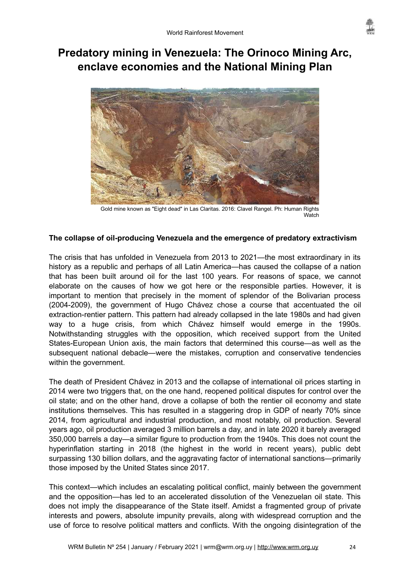

# <span id="page-23-0"></span>**Predatory mining in Venezuela: The Orinoco Mining Arc, enclave economies and the National Mining Plan**



Gold mine known as "Eight dead" in Las Claritas. 2016: Clavel Rangel. Ph: Human Rights **Watch** 

#### **The collapse of oil-producing Venezuela and the emergence of predatory extractivism**

The crisis that has unfolded in Venezuela from 2013 to 2021—the most extraordinary in its history as a republic and perhaps of all Latin America—has caused the collapse of a nation that has been built around oil for the last 100 years. For reasons of space, we cannot elaborate on the causes of how we got here or the responsible parties. However, it is important to mention that precisely in the moment of splendor of the Bolivarian process (2004-2009), the government of Hugo Chávez chose a course that accentuated the oil extraction-rentier pattern. This pattern had already collapsed in the late 1980s and had given way to a huge crisis, from which Chávez himself would emerge in the 1990s. Notwithstanding struggles with the opposition, which received support from the United States-European Union axis, the main factors that determined this course—as well as the subsequent national debacle—were the mistakes, corruption and conservative tendencies within the government.

The death of President Chávez in 2013 and the collapse of international oil prices starting in 2014 were two triggers that, on the one hand, reopened political disputes for control over the oil state; and on the other hand, drove a collapse of both the rentier oil economy and state institutions themselves. This has resulted in a staggering drop in GDP of nearly 70% since 2014, from agricultural and industrial production, and most notably, oil production. Several years ago, oil production averaged 3 million barrels a day, and in late 2020 it barely averaged 350,000 barrels a day—a similar figure to production from the 1940s. This does not count the hyperinflation starting in 2018 (the highest in the world in recent years), public debt surpassing 130 billion dollars, and the aggravating factor of international sanctions—primarily those imposed by the United States since 2017.

This context—which includes an escalating political conflict, mainly between the government and the opposition—has led to an accelerated dissolution of the Venezuelan oil state. This does not imply the disappearance of the State itself. Amidst a fragmented group of private interests and powers, absolute impunity prevails, along with widespread corruption and the use of force to resolve political matters and conflicts. With the ongoing disintegration of the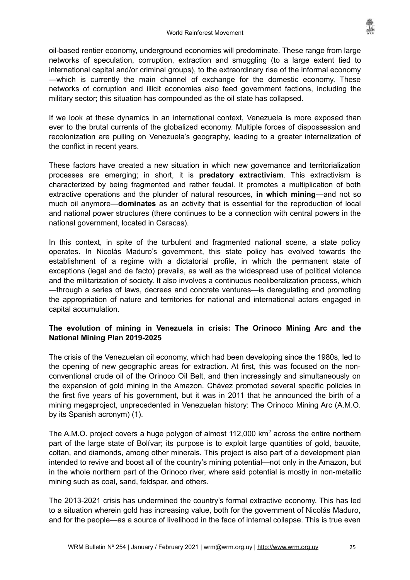oil-based rentier economy, underground economies will predominate. These range from large networks of speculation, corruption, extraction and smuggling (to a large extent tied to international capital and/or criminal groups), to the extraordinary rise of the informal economy —which is currently the main channel of exchange for the domestic economy. These networks of corruption and illicit economies also feed government factions, including the military sector; this situation has compounded as the oil state has collapsed.

If we look at these dynamics in an international context, Venezuela is more exposed than ever to the brutal currents of the globalized economy. Multiple forces of dispossession and recolonization are pulling on Venezuela's geography, leading to a greater internalization of the conflict in recent years.

These factors have created a new situation in which new governance and territorialization processes are emerging; in short, it is **predatory extractivism**. This extractivism is characterized by being fragmented and rather feudal. It promotes a multiplication of both extractive operations and the plunder of natural resources, **in which mining**—and not so much oil anymore—**dominates** as an activity that is essential for the reproduction of local and national power structures (there continues to be a connection with central powers in the national government, located in Caracas).

In this context, in spite of the turbulent and fragmented national scene, a state policy operates. In Nicolás Maduro's government, this state policy has evolved towards the establishment of a regime with a dictatorial profile, in which the permanent state of exceptions (legal and de facto) prevails, as well as the widespread use of political violence and the militarization of society. It also involves a continuous neoliberalization process, which —through a series of laws, decrees and concrete ventures—is deregulating and promoting the appropriation of nature and territories for national and international actors engaged in capital accumulation.

### **The evolution of mining in Venezuela in crisis: The Orinoco Mining Arc and the National Mining Plan 2019-2025**

The crisis of the Venezuelan oil economy, which had been developing since the 1980s, led to the opening of new geographic areas for extraction. At first, this was focused on the nonconventional crude oil of the Orinoco Oil Belt, and then increasingly and simultaneously on the expansion of gold mining in the Amazon. Chávez promoted several specific policies in the first five years of his government, but it was in 2011 that he announced the birth of a mining megaproject, unprecedented in Venezuelan history: The Orinoco Mining Arc (A.M.O. by its Spanish acronym) (1).

The A.M.O. project covers a huge polygon of almost 112,000 km<sup>2</sup> across the entire northern part of the large state of Bolívar; its purpose is to exploit large quantities of gold, bauxite, coltan, and diamonds, among other minerals. This project is also part of a development plan intended to revive and boost all of the country's mining potential—not only in the Amazon, but in the whole northern part of the Orinoco river, where said potential is mostly in non-metallic mining such as coal, sand, feldspar, and others.

The 2013-2021 crisis has undermined the country's formal extractive economy. This has led to a situation wherein gold has increasing value, both for the government of Nicolás Maduro, and for the people—as a source of livelihood in the face of internal collapse. This is true even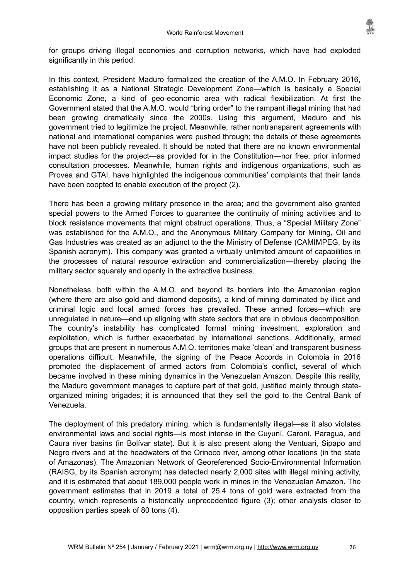

for groups driving illegal economies and corruption networks, which have had exploded significantly in this period.

In this context, President Maduro formalized the creation of the A.M.O. In February 2016, establishing it as a National Strategic Development Zone—which is basically a Special Economic Zone, a kind of geo-economic area with radical flexibilization. At first the Government stated that the A.M.O. would "bring order" to the rampant illegal mining that had been growing dramatically since the 2000s. Using this argument, Maduro and his government tried to legitimize the project. Meanwhile, rather nontransparent agreements with national and international companies were pushed through; the details of these agreements have not been publicly revealed. It should be noted that there are no known environmental impact studies for the project—as provided for in the Constitution—nor free, prior informed consultation processes. Meanwhile, human rights and indigenous organizations, such as Provea and GTAI, have highlighted the indigenous communities' complaints that their lands have been coopted to enable execution of the project (2).

There has been a growing military presence in the area; and the government also granted special powers to the Armed Forces to guarantee the continuity of mining activities and to block resistance movements that might obstruct operations. Thus, a "Special Military Zone" was established for the A.M.O., and the Anonymous Military Company for Mining, Oil and Gas Industries was created as an adjunct to the the Ministry of Defense (CAMIMPEG, by its Spanish acronym). This company was granted a virtually unlimited amount of capabilities in the processes of natural resource extraction and commercialization—thereby placing the military sector squarely and openly in the extractive business.

Nonetheless, both within the A.M.O. and beyond its borders into the Amazonian region (where there are also gold and diamond deposits), a kind of mining dominated by illicit and criminal logic and local armed forces has prevailed. These armed forces—which are unregulated in nature—end up aligning with state sectors that are in obvious decomposition. The country's instability has complicated formal mining investment, exploration and exploitation, which is further exacerbated by international sanctions. Additionally, armed groups that are present in numerous A.M.O. territories make 'clean' and transparent business operations difficult. Meanwhile, the signing of the Peace Accords in Colombia in 2016 promoted the displacement of armed actors from Colombia's conflict, several of which became involved in these mining dynamics in the Venezuelan Amazon. Despite this reality, the Maduro government manages to capture part of that gold, justified mainly through stateorganized mining brigades; it is announced that they sell the gold to the Central Bank of Venezuela.

The deployment of this predatory mining, which is fundamentally illegal—as it also violates environmental laws and social rights—is most intense in the Cuyuní, Caroní, Paragua, and Caura river basins (in Bolívar state). But it is also present along the Ventuari, Sipapo and Negro rivers and at the headwaters of the Orinoco river, among other locations (in the state of Amazonas). The Amazonian Network of Georeferenced Socio-Environmental Information (RAISG, by its Spanish acronym) has detected nearly 2,000 sites with illegal mining activity, and it is estimated that about 189,000 people work in mines in the Venezuelan Amazon. The government estimates that in 2019 a total of 25.4 tons of gold were extracted from the country, which represents a historically unprecedented figure (3); other analysts closer to opposition parties speak of 80 tons (4).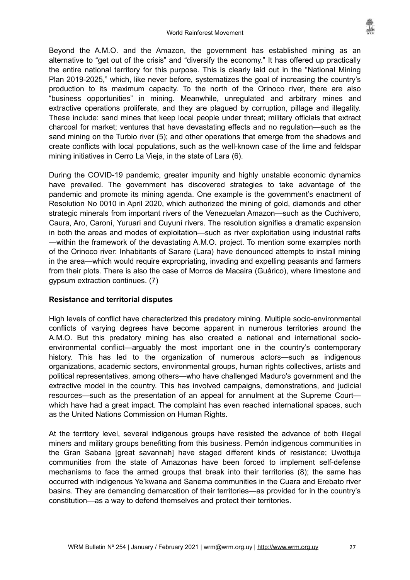Beyond the A.M.O. and the Amazon, the government has established mining as an alternative to "get out of the crisis" and "diversify the economy." It has offered up practically the entire national territory for this purpose. This is clearly laid out in the "National Mining Plan 2019-2025," which, like never before, systematizes the goal of increasing the country's production to its maximum capacity. To the north of the Orinoco river, there are also "business opportunities" in mining. Meanwhile, unregulated and arbitrary mines and extractive operations proliferate, and they are plagued by corruption, pillage and illegality. These include: sand mines that keep local people under threat; military officials that extract charcoal for market; ventures that have devastating effects and no regulation—such as the sand mining on the Turbio river (5); and other operations that emerge from the shadows and create conflicts with local populations, such as the well-known case of the lime and feldspar mining initiatives in Cerro La Vieja, in the state of Lara (6).

During the COVID-19 pandemic, greater impunity and highly unstable economic dynamics have prevailed. The government has discovered strategies to take advantage of the pandemic and promote its mining agenda. One example is the government's enactment of Resolution No 0010 in April 2020, which authorized the mining of gold, diamonds and other strategic minerals from important rivers of the Venezuelan Amazon—such as the Cuchivero, Caura, Aro, Caroní, Yuruari and Cuyuní rivers. The resolution signifies a dramatic expansion in both the areas and modes of exploitation—such as river exploitation using industrial rafts —within the framework of the devastating A.M.O. project. To mention some examples north of the Orinoco river: Inhabitants of Sarare (Lara) have denounced attempts to install mining in the area—which would require expropriating, invading and expelling peasants and farmers from their plots. There is also the case of Morros de Macaira (Guárico), where limestone and gypsum extraction continues. (7)

#### **Resistance and territorial disputes**

High levels of conflict have characterized this predatory mining. Multiple socio-environmental conflicts of varying degrees have become apparent in numerous territories around the A.M.O. But this predatory mining has also created a national and international socioenvironmental conflict—arguably the most important one in the country's contemporary history. This has led to the organization of numerous actors—such as indigenous organizations, academic sectors, environmental groups, human rights collectives, artists and political representatives, among others—who have challenged Maduro's government and the extractive model in the country. This has involved campaigns, demonstrations, and judicial resources—such as the presentation of an appeal for annulment at the Supreme Court which have had a great impact. The complaint has even reached international spaces, such as the United Nations Commission on Human Rights.

At the territory level, several indigenous groups have resisted the advance of both illegal miners and military groups benefitting from this business. Pemón indigenous communities in the Gran Sabana [great savannah] have staged different kinds of resistance; Uwottuja communities from the state of Amazonas have been forced to implement self-defense mechanisms to face the armed groups that break into their territories (8); the same has occurred with indigenous Ye'kwana and Sanema communities in the Cuara and Erebato river basins. They are demanding demarcation of their territories—as provided for in the country's constitution—as a way to defend themselves and protect their territories.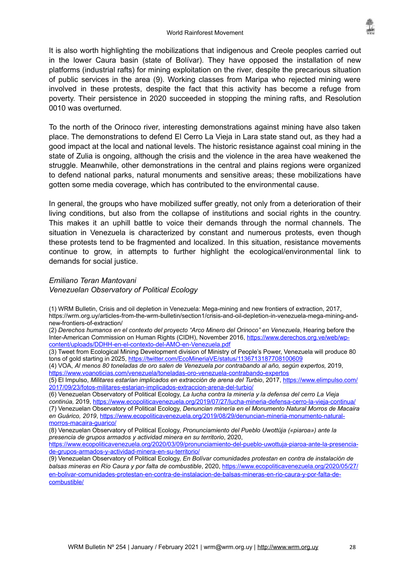It is also worth highlighting the mobilizations that indigenous and Creole peoples carried out in the lower Caura basin (state of Bolívar). They have opposed the installation of new platforms (industrial rafts) for mining exploitation on the river, despite the precarious situation of public services in the area (9). Working classes from Maripa who rejected mining were involved in these protests, despite the fact that this activity has become a refuge from poverty. Their persistence in 2020 succeeded in stopping the mining rafts, and Resolution 0010 was overturned.

To the north of the Orinoco river, interesting demonstrations against mining have also taken place. The demonstrations to defend El Cerro La Vieja in Lara state stand out, as they had a good impact at the local and national levels. The historic resistance against coal mining in the state of Zulia is ongoing, although the crisis and the violence in the area have weakened the struggle. Meanwhile, other demonstrations in the central and plains regions were organized to defend national parks, natural monuments and sensitive areas; these mobilizations have gotten some media coverage, which has contributed to the environmental cause.

In general, the groups who have mobilized suffer greatly, not only from a deterioration of their living conditions, but also from the collapse of institutions and social rights in the country. This makes it an uphill battle to voice their demands through the normal channels. The situation in Venezuela is characterized by constant and numerous protests, even though these protests tend to be fragmented and localized. In this situation, resistance movements continue to grow, in attempts to further highlight the ecological/environmental link to demands for social justice.

#### *Emiliano Teran Mantovani*

*Venezuelan Observatory of Political Ecology* 

(1) WRM Bulletin, Crisis and oil depletion in Venezuela: Mega-mining and new frontiers of extraction, 2017, https://wrm.org.uy/articles-from-the-wrm-bulletin/section1/crisis-and-oil-depletion-in-venezuela-mega-mining-andnew-frontiers-of-extraction/

(2) *Derechos humanos en el contexto del proyecto "Arco Minero del Orinoco" en Venezuela*, Hearing before the Inter-American Commission on Human Rights (CIDH), November 2016, [https://www.derechos.org.ve/web/wp](https://www.derechos.org.ve/web/wp-content/uploads/DDHH-en-el-contexto-del-AMO-en-Venezuela.pdf)[content/uploads/DDHH-en-el-contexto-del-AMO-en-Venezuela.pdf](https://www.derechos.org.ve/web/wp-content/uploads/DDHH-en-el-contexto-del-AMO-en-Venezuela.pdf)

(3) Tweet from Ecological Mining Development division of Ministry of People's Power, Venezuela will produce 80 tons of gold starting in 2025,<https://twitter.com/EcoMineriaVE/status/1136713187708100609>

(4) VOA, *Al menos 80 toneladas de oro salen de Venezuela por contrabando al año, según expertos,* 2019, <https://www.voanoticias.com/venezuela/toneladas-oro-venezuela-contrabando-expertos>

(5) El Impulso, *Militares estarían implicados en extracción de arena del Turbio*, 2017, [https://www.elimpulso.com/](https://www.elimpulso.com/2017/09/23/fotos-militares-estarian-implicados-extraccion-arena-del-turbio/) [2017/09/23/fotos-militares-estarian-implicados-extraccion-arena-del-turbio/](https://www.elimpulso.com/2017/09/23/fotos-militares-estarian-implicados-extraccion-arena-del-turbio/)

(6) Venezuelan Observatory of Political Ecology, *La lucha contra la minería y la defensa del cerro La Vieja* 

*continúa,* 2019, <https://www.ecopoliticavenezuela.org/2019/07/27/lucha-mineria-defensa-cerro-la-vieja-continua/> (7) Venezuelan Observatory of Political Ecology, *Denuncian minería en el Monumento Natural Morros de Macaira en Guárico, 2019*, [https://www.ecopoliticavenezuela.org/2019/08/29/denuncian-mineria-monumento-natural](https://www.ecopoliticavenezuela.org/2019/08/29/denuncian-mineria-monumento-natural-morros-macaira-guarico/)[morros-macaira-guarico/](https://www.ecopoliticavenezuela.org/2019/08/29/denuncian-mineria-monumento-natural-morros-macaira-guarico/)

(8) Venezuelan Observatory of Political Ecology, *Pronunciamiento del Pueblo Uwottüja («piaroa») ante la presencia de grupos armados y actividad minera en su territorio*, 2020,

[https://www.ecopoliticavenezuela.org/2020/03/09/pronunciamiento-del-pueblo-uwottuja-piaroa-ante-la-presencia](https://www.ecopoliticavenezuela.org/2020/03/09/pronunciamiento-del-pueblo-uwottuja-piaroa-ante-la-presencia-de-grupos-armados-y-actividad-minera-en-su-territorio/)[de-grupos-armados-y-actividad-minera-en-su-territorio/](https://www.ecopoliticavenezuela.org/2020/03/09/pronunciamiento-del-pueblo-uwottuja-piaroa-ante-la-presencia-de-grupos-armados-y-actividad-minera-en-su-territorio/)

(9) Venezuelan Observatory of Political Ecology, *En Bolívar comunidades protestan en contra de instalación de balsas mineras en Río Caura y por falta de combustible*, 2020, [https://www.ecopoliticavenezuela.org/2020/05/27/](https://www.ecopoliticavenezuela.org/2020/05/27/en-bolivar-comunidades-protestan-en-contra-de-instalacion-de-balsas-mineras-en-rio-caura-y-por-falta-de-combustible/) [en-bolivar-comunidades-protestan-en-contra-de-instalacion-de-balsas-mineras-en-rio-caura-y-por-falta-de](https://www.ecopoliticavenezuela.org/2020/05/27/en-bolivar-comunidades-protestan-en-contra-de-instalacion-de-balsas-mineras-en-rio-caura-y-por-falta-de-combustible/)[combustible/](https://www.ecopoliticavenezuela.org/2020/05/27/en-bolivar-comunidades-protestan-en-contra-de-instalacion-de-balsas-mineras-en-rio-caura-y-por-falta-de-combustible/)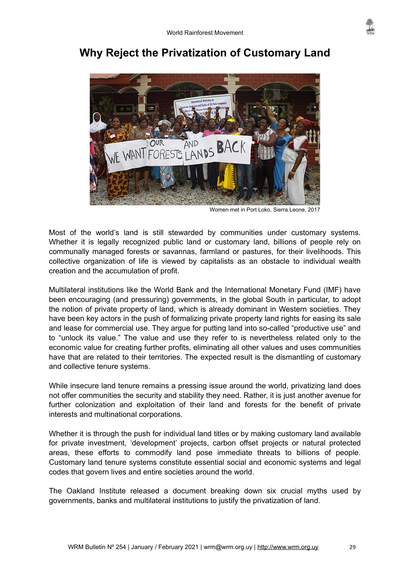

# <span id="page-28-0"></span>**Why Reject the Privatization of Customary Land**



Women met in Port Loko, Sierra Leone, 2017

Most of the world's land is still stewarded by communities under customary systems. Whether it is legally recognized public land or customary land, billions of people rely on communally managed forests or savannas, farmland or pastures, for their livelihoods. This collective organization of life is viewed by capitalists as an obstacle to individual wealth creation and the accumulation of profit.

Multilateral institutions like the World Bank and the International Monetary Fund (IMF) have been encouraging (and pressuring) governments, in the global South in particular, to adopt the notion of private property of land, which is already dominant in Western societies. They have been key actors in the push of formalizing private property land rights for easing its sale and lease for commercial use. They argue for putting land into so-called "productive use" and to "unlock its value." The value and use they refer to is nevertheless related only to the economic value for creating further profits, eliminating all other values and uses communities have that are related to their territories. The expected result is the dismantling of customary and collective tenure systems.

While insecure land tenure remains a pressing issue around the world, privatizing land does not offer communities the security and stability they need. Rather, it is just another avenue for further colonization and exploitation of their land and forests for the benefit of private interests and multinational corporations.

Whether it is through the push for individual land titles or by making customary land available for private investment, 'development' projects, carbon offset projects or natural protected areas, these efforts to commodify land pose immediate threats to billions of people. Customary land tenure systems constitute essential social and economic systems and legal codes that govern lives and entire societies around the world.

The Oakland Institute released a document breaking down six crucial myths used by governments, banks and multilateral institutions to justify the privatization of land.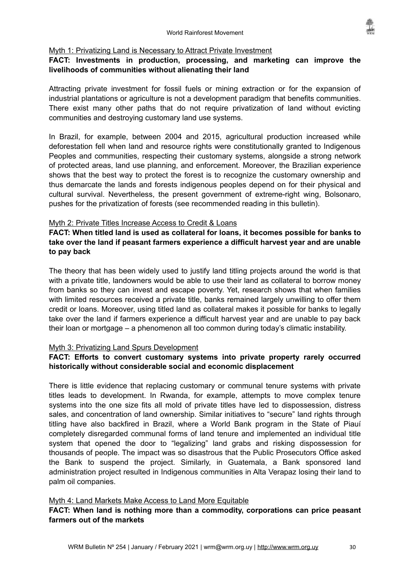#### Myth 1: Privatizing Land is Necessary to Attract Private Investment

#### **FACT: Investments in production, processing, and marketing can improve the livelihoods of communities without alienating their land**

Attracting private investment for fossil fuels or mining extraction or for the expansion of industrial plantations or agriculture is not a development paradigm that benefits communities. There exist many other paths that do not require privatization of land without evicting communities and destroying customary land use systems.

In Brazil, for example, between 2004 and 2015, agricultural production increased while deforestation fell when land and resource rights were constitutionally granted to Indigenous Peoples and communities, respecting their customary systems, alongside a strong network of protected areas, land use planning, and enforcement. Moreover, the Brazilian experience shows that the best way to protect the forest is to recognize the customary ownership and thus demarcate the lands and forests indigenous peoples depend on for their physical and cultural survival. Nevertheless, the present government of extreme-right wing, Bolsonaro, pushes for the privatization of forests (see recommended reading in this bulletin).

#### Myth 2: Private Titles Increase Access to Credit & Loans

**FACT: When titled land is used as collateral for loans, it becomes possible for banks to take over the land if peasant farmers experience a difficult harvest year and are unable to pay back**

The theory that has been widely used to justify land titling projects around the world is that with a private title, landowners would be able to use their land as collateral to borrow money from banks so they can invest and escape poverty. Yet, research shows that when families with limited resources received a private title, banks remained largely unwilling to offer them credit or loans. Moreover, using titled land as collateral makes it possible for banks to legally take over the land if farmers experience a difficult harvest year and are unable to pay back their loan or mortgage – a phenomenon all too common during today's climatic instability.

#### Myth 3: Privatizing Land Spurs Development

### **FACT: Efforts to convert customary systems into private property rarely occurred historically without considerable social and economic displacement**

There is little evidence that replacing customary or communal tenure systems with private titles leads to development. In Rwanda, for example, attempts to move complex tenure systems into the one size fits all mold of private titles have led to dispossession, distress sales, and concentration of land ownership. Similar initiatives to "secure" land rights through titling have also backfired in Brazil, where a World Bank program in the State of Piauí completely disregarded communal forms of land tenure and implemented an individual title system that opened the door to "legalizing" land grabs and risking dispossession for thousands of people. The impact was so disastrous that the Public Prosecutors Office asked the Bank to suspend the project. Similarly, in Guatemala, a Bank sponsored land administration project resulted in Indigenous communities in Alta Verapaz losing their land to palm oil companies.

#### Myth 4: Land Markets Make Access to Land More Equitable

### **FACT: When land is nothing more than a commodity, corporations can price peasant farmers out of the markets**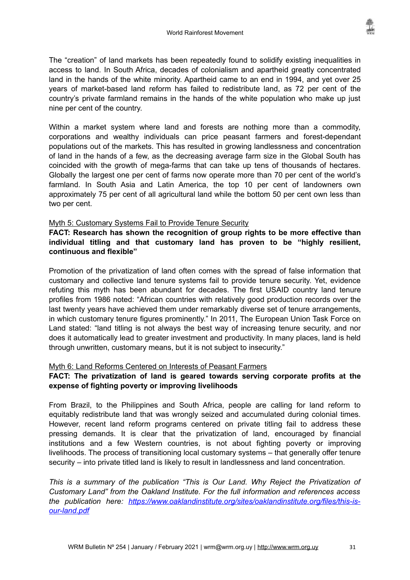The "creation" of land markets has been repeatedly found to solidify existing inequalities in access to land. In South Africa, decades of colonialism and apartheid greatly concentrated land in the hands of the white minority. Apartheid came to an end in 1994, and yet over 25 years of market-based land reform has failed to redistribute land, as 72 per cent of the country's private farmland remains in the hands of the white population who make up just nine per cent of the country.

Within a market system where land and forests are nothing more than a commodity, corporations and wealthy individuals can price peasant farmers and forest-dependant populations out of the markets. This has resulted in growing landlessness and concentration of land in the hands of a few, as the decreasing average farm size in the Global South has coincided with the growth of mega-farms that can take up tens of thousands of hectares. Globally the largest one per cent of farms now operate more than 70 per cent of the world's farmland. In South Asia and Latin America, the top 10 per cent of landowners own approximately 75 per cent of all agricultural land while the bottom 50 per cent own less than two per cent.

#### Myth 5: Customary Systems Fail to Provide Tenure Security

**FACT: Research has shown the recognition of group rights to be more effective than individual titling and that customary land has proven to be "highly resilient, continuous and flexible"**

Promotion of the privatization of land often comes with the spread of false information that customary and collective land tenure systems fail to provide tenure security. Yet, evidence refuting this myth has been abundant for decades. The first USAID country land tenure profiles from 1986 noted: "African countries with relatively good production records over the last twenty years have achieved them under remarkably diverse set of tenure arrangements, in which customary tenure figures prominently." In 2011, The European Union Task Force on Land stated: "land titling is not always the best way of increasing tenure security, and nor does it automatically lead to greater investment and productivity. In many places, land is held through unwritten, customary means, but it is not subject to insecurity."

#### Myth 6: Land Reforms Centered on Interests of Peasant Farmers

#### **FACT: The privatization of land is geared towards serving corporate profits at the expense of fighting poverty or improving livelihoods**

From Brazil, to the Philippines and South Africa, people are calling for land reform to equitably redistribute land that was wrongly seized and accumulated during colonial times. However, recent land reform programs centered on private titling fail to address these pressing demands. It is clear that the privatization of land, encouraged by financial institutions and a few Western countries, is not about fighting poverty or improving livelihoods. The process of transitioning local customary systems – that generally offer tenure security – into private titled land is likely to result in landlessness and land concentration.

*This is a summary of the publication "This is Our Land. Why Reject the Privatization of Customary Land" from the Oakland Institute. For the full information and references access the publication here: [https://www.oaklandinstitute.org/sites/oaklandinstitute.org/files/this-is](https://www.oaklandinstitute.org/sites/oaklandinstitute.org/files/this-is-our-land.pdf)[our-land.pdf](https://www.oaklandinstitute.org/sites/oaklandinstitute.org/files/this-is-our-land.pdf)*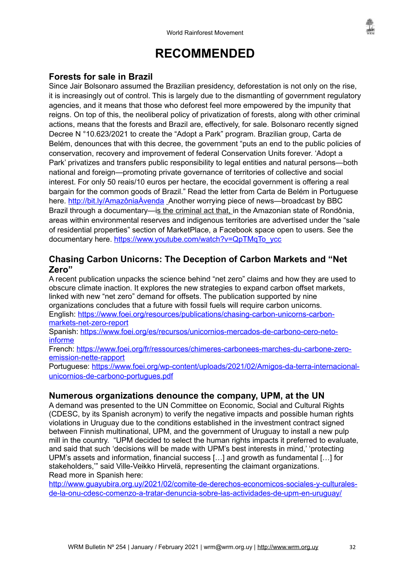# <span id="page-31-0"></span>**RECOMMENDED**

# <span id="page-31-1"></span>**Forests for sale in Brazil**

Since Jair Bolsonaro assumed the Brazilian presidency, deforestation is not only on the rise, it is increasingly out of control. This is largely due to the dismantling of government regulatory agencies, and it means that those who deforest feel more empowered by the impunity that reigns. On top of this, the neoliberal policy of privatization of forests, along with other criminal actions, means that the forests and Brazil are, effectively, for sale. Bolsonaro recently signed Decree N °10.623/2021 to create the "Adopt a Park" program. Brazilian group, Carta de Belém, denounces that with this decree, the government "puts an end to the public policies of conservation, recovery and improvement of federal Conservation Units forever. 'Adopt a Park' privatizes and transfers public responsibility to legal entities and natural persons—both national and foreign—promoting private governance of territories of collective and social interest. For only 50 reais/10 euros per hectare, the ecocidal government is offering a real bargain for the common goods of Brazil." Read the letter from Carta de Belém in Portuguese here. [http://bit.ly/AmazôniaÀvenda](http://bit.ly/Amaz%C5%B8nia%C3%B8venda) Another worrving piece of news—broadcast by BBC Brazil through a documentary—is the criminal act that, in the Amazonian state of Rondônia, areas within environmental reserves and indigenous territories are advertised under the "sale of residential properties" section of MarketPlace, a Facebook space open to users. See the documentary here. [https://www.youtube.com/watch?v=QpTMqTo\\_ycc](https://www.youtube.com/watch?v=QpTMqTo_ycc)

# <span id="page-31-3"></span>**Chasing Carbon Unicorns: The Deception of Carbon Markets and "Net Zero"**

A recent publication unpacks the science behind "net zero" claims and how they are used to obscure climate inaction. It explores the new strategies to expand carbon offset markets, linked with new "net zero" demand for offsets. The publication supported by nine organizations concludes that a future with fossil fuels will require carbon unicorns. English: [https://www.foei.org/resources/publications/chasing-carbon-unicorns-carbon](https://www.foei.org/resources/publications/chasing-carbon-unicorns-carbon-markets-net-zero-report)[markets-net-zero-report](https://www.foei.org/resources/publications/chasing-carbon-unicorns-carbon-markets-net-zero-report)

Spanish: [https://www.foei.org/es/recursos/unicornios-mercados-de-carbono-cero-neto](https://www.foei.org/es/recursos/unicornios-mercados-de-carbono-cero-neto-informe)[informe](https://www.foei.org/es/recursos/unicornios-mercados-de-carbono-cero-neto-informe)

French: [https://www.foei.org/fr/ressources/chimeres-carbonees-marches-du-carbone-zero](https://www.foei.org/fr/ressources/chimeres-carbonees-marches-du-carbone-zero-emission-nette-rapport)[emission-nette-rapport](https://www.foei.org/fr/ressources/chimeres-carbonees-marches-du-carbone-zero-emission-nette-rapport)

Portuguese: [https://www.foei.org/wp-content/uploads/2021/02/Amigos-da-terra-internacional](https://www.foei.org/wp-content/uploads/2021/02/Amigos-da-terra-internacional-unicornios-de-carbono-portugues.pdf)[unicornios-de-carbono-portugues.pdf](https://www.foei.org/wp-content/uploads/2021/02/Amigos-da-terra-internacional-unicornios-de-carbono-portugues.pdf)

## <span id="page-31-2"></span>**Numerous organizations denounce the company, UPM, at the UN**

A demand was presented to the UN Committee on Economic, Social and Cultural Rights (CDESC, by its Spanish acronym) to verify the negative impacts and possible human rights violations in Uruguay due to the conditions established in the investment contract signed between Finnish multinational, UPM, and the government of Uruguay to install a new pulp mill in the country. "UPM decided to select the human rights impacts it preferred to evaluate, and said that such 'decisions will be made with UPM's best interests in mind,' 'protecting UPM's assets and information, financial success […] and growth as fundamental […] for stakeholders,'" said Ville-Veikko Hirvelä, representing the claimant organizations. Read more in Spanish here:

[http://www.guayubira.org.uy/2021/02/comite-de-derechos-economicos-sociales-y-culturales](http://www.guayubira.org.uy/2021/02/comite-de-derechos-economicos-sociales-y-culturales-de-la-onu-cdesc-comenzo-a-tratar-denuncia-sobre-las-actividades-de-upm-en-uruguay/)[de-la-onu-cdesc-comenzo-a-tratar-denuncia-sobre-las-actividades-de-upm-en-uruguay/](http://www.guayubira.org.uy/2021/02/comite-de-derechos-economicos-sociales-y-culturales-de-la-onu-cdesc-comenzo-a-tratar-denuncia-sobre-las-actividades-de-upm-en-uruguay/)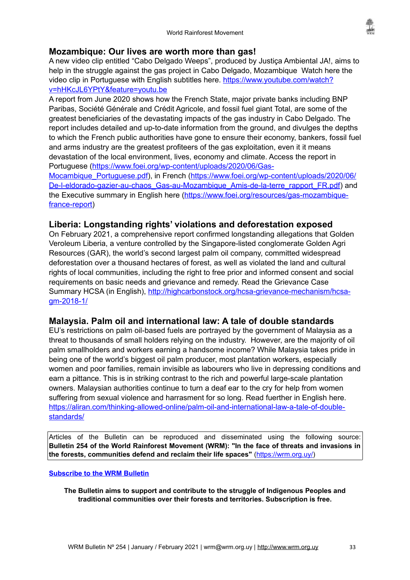

## <span id="page-32-2"></span>**Mozambique: Our lives are worth more than gas!**

A new video clip entitled "Cabo Delgado Weeps", produced by Justiça Ambiental JA!, aims to help in the struggle against the gas project in Cabo Delgado, Mozambique Watch here the video clip in Portuguese with English subtitles here. [https://www.youtube.com/watch?](https://www.youtube.com/watch?v=hHKcJL6YPtY&feature=youtu.be) [v=hHKcJL6YPtY&feature=youtu.be](https://www.youtube.com/watch?v=hHKcJL6YPtY&feature=youtu.be)

A report from June 2020 shows how the French State, major private banks including BNP Paribas, Société Générale and Crédit Agricole, and fossil fuel giant Total, are some of the greatest beneficiaries of the devastating impacts of the gas industry in Cabo Delgado. The report includes detailed and up-to-date information from the ground, and divulges the depths to which the French public authorities have gone to ensure their economy, bankers, fossil fuel and arms industry are the greatest profiteers of the gas exploitation, even it it means devastation of the local environment, lives, economy and climate. Access the report in Portuguese ([https://www.foei.org/wp-content/uploads/2020/06/Gas-](https://www.foei.org/wp-content/uploads/2020/06/Gas-Mocambique_Portuguese.pdf)

[Mocambique\\_Portuguese.pdf\)](https://www.foei.org/wp-content/uploads/2020/06/Gas-Mocambique_Portuguese.pdf), in French [\(https://www.foei.org/wp-content/uploads/2020/06/](https://www.foei.org/wp-content/uploads/2020/06/De-l-eldorado-gazier-au-chaos_Gas-au-Mozambique_Amis-de-la-terre_rapport_FR.pdf) [De-l-eldorado-gazier-au-chaos\\_Gas-au-Mozambique\\_Amis-de-la-terre\\_rapport\\_FR.pdf](https://www.foei.org/wp-content/uploads/2020/06/De-l-eldorado-gazier-au-chaos_Gas-au-Mozambique_Amis-de-la-terre_rapport_FR.pdf)) and the Executive summary in English here ([https://www.foei.org/resources/gas-mozambique](https://www.foei.org/resources/gas-mozambique-france-report)[france-report](https://www.foei.org/resources/gas-mozambique-france-report))

### <span id="page-32-1"></span>**Liberia: Longstanding rights' violations and deforestation exposed**

On February 2021, a comprehensive report confirmed longstanding allegations that Golden Veroleum Liberia, a venture controlled by the Singapore-listed conglomerate Golden Agri Resources (GAR), the world's second largest palm oil company, committed widespread deforestation over a thousand hectares of forest, as well as violated the land and cultural rights of local communities, including the right to free prior and informed consent and social requirements on basic needs and grievance and remedy. Read the Grievance Case Summary HCSA (in English), [http://highcarbonstock.org/hcsa-grievance-mechanism/hcsa](http://highcarbonstock.org/hcsa-grievance-mechanism/hcsa-gm-2018-1/)[gm-2018-1/](http://highcarbonstock.org/hcsa-grievance-mechanism/hcsa-gm-2018-1/)

#### <span id="page-32-0"></span>**Malaysia. Palm oil and international law: A tale of double standards**

EU's restrictions on palm oil-based fuels are portrayed by the government of Malaysia as a threat to thousands of small holders relying on the industry. However, are the majority of oil palm smallholders and workers earning a handsome income? While Malaysia takes pride in being one of the world's biggest oil palm producer, most plantation workers, especially women and poor families, remain invisible as labourers who live in depressing conditions and earn a pittance. This is in striking contrast to the rich and powerful large-scale plantation owners. Malaysian authorities continue to turn a deaf ear to the cry for help from women suffering from sexual violence and harrasment for so long. Read fuerther in English here. [https://aliran.com/thinking-allowed-online/palm-oil-and-international-law-a-tale-of-double](https://aliran.com/thinking-allowed-online/palm-oil-and-international-law-a-tale-of-double-standards/)[standards/](https://aliran.com/thinking-allowed-online/palm-oil-and-international-law-a-tale-of-double-standards/)

Articles of the Bulletin can be reproduced and disseminated using the following source: **Bulletin 254 of the World Rainforest Movement (WRM): "In the face of threats and invasions in the forests, communities defend and reclaim their life spaces"** [\(https://wrm.org.uy/\)](https://wrm.org.uy/)

#### **[Subscribe to the WRM Bulletin](http://wrm.us9.list-manage1.com/subscribe?u=f91b651f7fecdf835b57dc11d&id=ca171adcc2)**

**The Bulletin aims to support and contribute to the struggle of Indigenous Peoples and traditional communities over their forests and territories. Subscription is free.**